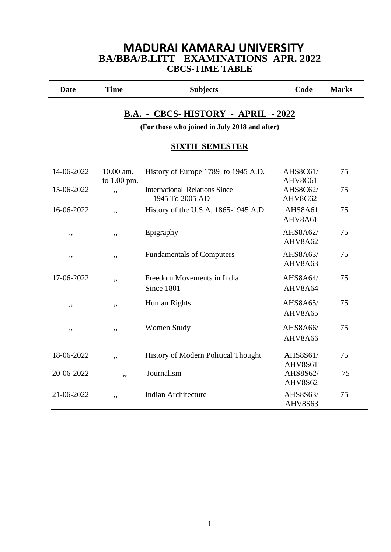### **MADURAI KAMARAJ UNIVERSITY BA/BBA/B.LITT EXAMINATIONS APR. 2022 CBCS-TIME TABLE**

| <b>Date</b> | <b>Time</b> | <b>Subjects</b> | Code | <b>Marks</b> |
|-------------|-------------|-----------------|------|--------------|
|             |             |                 |      |              |

### **B.A. - CBCS- HISTORY - APRIL - 2022**

**(For those who joined in July 2018 and after)**

#### **SIXTH SEMESTER**

| 14-06-2022 | $10.00$ am.<br>to 1.00 pm. | History of Europe 1789 to 1945 A.D.                     | AHS8C61/<br>AHV8C61 | 75 |
|------------|----------------------------|---------------------------------------------------------|---------------------|----|
| 15-06-2022 | ,,                         | <b>International Relations Since</b><br>1945 To 2005 AD | AHS8C62/<br>AHV8C62 | 75 |
| 16-06-2022 | ,,                         | History of the U.S.A. 1865-1945 A.D.                    | AHS8A61<br>AHV8A61  | 75 |
| ,,         | ,,                         | Epigraphy                                               | AHS8A62/<br>AHV8A62 | 75 |
| ,,         | ,,                         | <b>Fundamentals of Computers</b>                        | AHS8A63/<br>AHV8A63 | 75 |
| 17-06-2022 | ,,                         | Freedom Movements in India<br>Since 1801                | AHS8A64/<br>AHV8A64 | 75 |
| ,,         | ,,                         | Human Rights                                            | AHS8A65/<br>AHV8A65 | 75 |
| ,,         | ,,                         | <b>Women Study</b>                                      | AHS8A66/<br>AHV8A66 | 75 |
| 18-06-2022 | , ,                        | History of Modern Political Thought                     | AHS8S61/<br>AHV8S61 | 75 |
| 20-06-2022 | ,,                         | Journalism                                              | AHS8S62/<br>AHV8S62 | 75 |
| 21-06-2022 | ,,                         | <b>Indian Architecture</b>                              | AHS8S63/<br>AHV8S63 | 75 |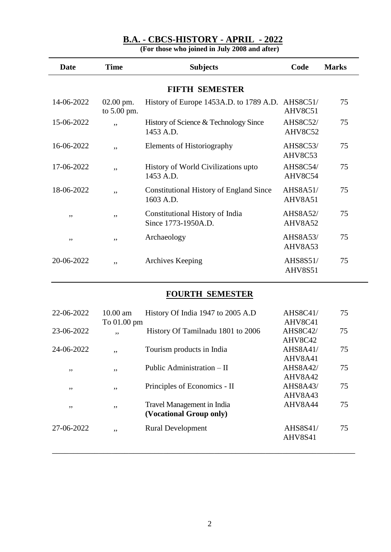| <b>Date</b> | <b>Time</b>              | <b>Subjects</b>                                             | Code                       | <b>Marks</b> |
|-------------|--------------------------|-------------------------------------------------------------|----------------------------|--------------|
|             |                          | <b>FIFTH SEMESTER</b>                                       |                            |              |
| 14-06-2022  | 02.00 pm.<br>to 5.00 pm. | History of Europe 1453A.D. to 1789 A.D.                     | AHS8C51/<br>AHV8C51        | 75           |
| 15-06-2022  | ,,                       | History of Science & Technology Since<br>1453 A.D.          | <b>AHS8C52/</b><br>AHV8C52 | 75           |
| 16-06-2022  | ,,                       | Elements of Historiography                                  | <b>AHS8C53/</b><br>AHV8C53 | 75           |
| 17-06-2022  | ,,                       | History of World Civilizations upto<br>1453 A.D.            | <b>AHS8C54/</b><br>AHV8C54 | 75           |
| 18-06-2022  | ,,                       | <b>Constitutional History of England Since</b><br>1603 A.D. | <b>AHS8A51/</b><br>AHV8A51 | 75           |
| ,,          | ,,                       | Constitutional History of India<br>Since 1773-1950A.D.      | AHS8A52/<br>AHV8A52        | 75           |
| ,,          | ,,                       | Archaeology                                                 | <b>AHS8A53/</b><br>AHV8A53 | 75           |
| 20-06-2022  | ,,                       | Archives Keeping                                            | AHS8S51/<br><b>AHV8S51</b> | 75           |

**(For those who joined in July 2008 and after)**

# **FOURTH SEMESTER**

| 22-06-2022 | $10.00$ am<br>To 01.00 pm | History Of India 1947 to 2005 A.D                     | <b>AHS8C41/</b><br>AHV8C41 | 75 |
|------------|---------------------------|-------------------------------------------------------|----------------------------|----|
| 23-06-2022 | , ,                       | History Of Tamilnadu 1801 to 2006                     | <b>AHS8C42/</b><br>AHV8C42 | 75 |
| 24-06-2022 | ,,                        | Tourism products in India                             | <b>AHS8A41/</b><br>AHV8A41 | 75 |
| , ,        | , ,                       | Public Administration – II                            | <b>AHS8A42/</b><br>AHV8A42 | 75 |
| , ,        | , ,                       | Principles of Economics - II                          | AHS8A43/                   | 75 |
| , ,        | ,,                        | Travel Management in India<br>(Vocational Group only) | AHV8A43<br>AHV8A44         | 75 |
| 27-06-2022 | ,,                        | <b>Rural Development</b>                              | AHS8S41/<br>AHV8S41        | 75 |
|            |                           |                                                       |                            |    |

\_\_\_\_\_\_\_\_\_\_\_\_\_\_\_\_\_\_\_\_\_\_\_\_\_\_\_\_\_\_\_\_\_\_\_\_\_\_\_\_\_\_\_\_\_\_\_\_\_\_\_\_\_\_\_\_\_\_\_\_\_\_\_\_\_\_\_\_\_\_\_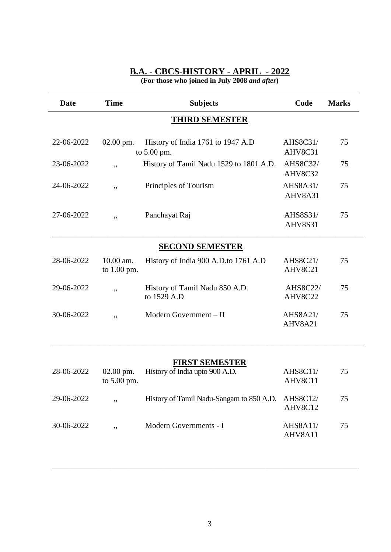**(For those who joined in July 2008** *and after***)**

| <b>Date</b> | <b>Time</b>                | <b>Subjects</b>                                         | Code                       | <b>Marks</b> |
|-------------|----------------------------|---------------------------------------------------------|----------------------------|--------------|
|             |                            | <b>THIRD SEMESTER</b>                                   |                            |              |
| 22-06-2022  | $02.00$ pm.                | History of India 1761 to 1947 A.D<br>to 5.00 pm.        | <b>AHS8C31/</b><br>AHV8C31 | 75           |
| 23-06-2022  | ,,                         | History of Tamil Nadu 1529 to 1801 A.D.                 | <b>AHS8C32/</b><br>AHV8C32 | 75           |
| 24-06-2022  | ,,                         | Principles of Tourism                                   | <b>AHS8A31/</b><br>AHV8A31 | 75           |
| 27-06-2022  | ,,                         | Panchayat Raj                                           | AHS8S31/<br>AHV8S31        | 75           |
|             |                            | <b>SECOND SEMESTER</b>                                  |                            |              |
| 28-06-2022  | 10.00 am.<br>to 1.00 pm.   | History of India 900 A.D.to 1761 A.D                    | <b>AHS8C21/</b><br>AHV8C21 | 75           |
| 29-06-2022  | ,,                         | History of Tamil Nadu 850 A.D.<br>to 1529 A.D           | <b>AHS8C22/</b><br>AHV8C22 | 75           |
| 30-06-2022  | ,,                         | Modern Government - II                                  | <b>AHS8A21/</b><br>AHV8A21 | 75           |
|             |                            |                                                         |                            |              |
| 28-06-2022  | $02.00$ pm.<br>to 5.00 pm. | <b>FIRST SEMESTER</b><br>History of India upto 900 A.D. | <b>AHS8C11/</b><br>AHV8C11 | 75           |
| 29-06-2022  |                            | History of Tamil Nadu-Sangam to 850 A.D.                | <b>AHS8C12/</b><br>AHV8C12 | 75           |
| 30-06-2022  | ,,                         | Modern Governments - I                                  | <b>AHS8A11/</b><br>AHV8A11 | 75           |

\_\_\_\_\_\_\_\_\_\_\_\_\_\_\_\_\_\_\_\_\_\_\_\_\_\_\_\_\_\_\_\_\_\_\_\_\_\_\_\_\_\_\_\_\_\_\_\_\_\_\_\_\_\_\_\_\_\_\_\_\_\_\_\_\_\_\_\_\_\_\_\_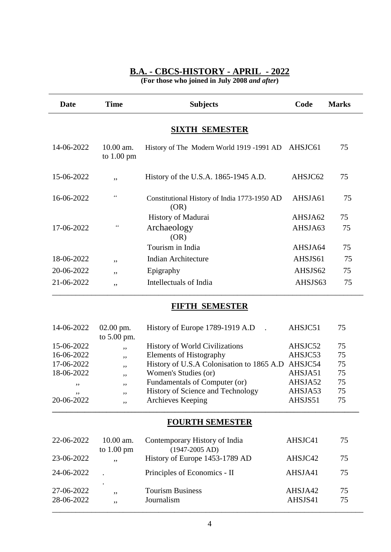**(For those who joined in July 2008** *and after***)**

| <b>Date</b> | <b>Time</b>                         | <b>Subjects</b>                                         | Code    | <b>Marks</b> |
|-------------|-------------------------------------|---------------------------------------------------------|---------|--------------|
|             |                                     | <b>SIXTH SEMESTER</b>                                   |         |              |
| 14-06-2022  | 10.00 am.<br>to $1.00 \text{ pm}$   | History of The Modern World 1919 -1991 AD               | AHSJC61 | 75           |
| 15-06-2022  | ,,                                  | History of the U.S.A. 1865-1945 A.D.                    | AHSJC62 | 75           |
| 16-06-2022  | "                                   | Constitutional History of India 1773-1950 AD<br>(OR)    | AHSJA61 | 75           |
|             |                                     | History of Madurai                                      | AHSJA62 | 75           |
| 17-06-2022  | $\epsilon$                          | Archaeology<br>(OR)                                     | AHSJA63 | 75           |
|             |                                     | Tourism in India                                        | AHSJA64 | 75           |
| 18-06-2022  | ,,                                  | <b>Indian Architecture</b>                              | AHSJS61 | 75           |
| 20-06-2022  | ,,                                  | Epigraphy                                               | AHSJS62 | 75           |
| 21-06-2022  | ,,                                  | Intellectuals of India                                  | AHSJS63 | 75           |
|             |                                     | <b>FIFTH SEMESTER</b>                                   |         |              |
| 14-06-2022  | $02.00$ pm.<br>to $5.00 \text{ nm}$ | History of Europe 1789-1919 A.D<br>$\ddot{\phantom{a}}$ | AHSJC51 | 75           |

|            | to $5.00$ pm. |                                                   |         |    |
|------------|---------------|---------------------------------------------------|---------|----|
| 15-06-2022 | , ,           | <b>History of World Civilizations</b>             | AHSJC52 | 75 |
| 16-06-2022 | ,,            | <b>Elements of Histography</b>                    | AHSJC53 | 75 |
| 17-06-2022 | $, \,$        | History of U.S.A Colonisation to 1865 A.D AHSJC54 |         | 75 |
| 18-06-2022 | , ,           | Women's Studies (or)                              | AHSJA51 | 75 |
| , ,        | ,,            | Fundamentals of Computer (or)                     | AHSJA52 | 75 |
| , ,        | , ,           | History of Science and Technology                 | AHSJA53 | 75 |
| 20-06-2022 | , ,           | Archieves Keeping                                 | AHSJS51 | 75 |
|            |               |                                                   |         |    |

# **FOURTH SEMESTER**

| 22-06-2022               | $10.00$ am.<br>to $1.00 \text{ pm}$ | Contemporary History of India<br>$(1947-2005 AD)$ | AHSJC41            | 75       |  |
|--------------------------|-------------------------------------|---------------------------------------------------|--------------------|----------|--|
| 23-06-2022               | ,,                                  | History of Europe 1453-1789 AD                    | AHSJC42            | 75       |  |
| 24-06-2022               |                                     | Principles of Economics - II                      | AHSJA41            | 75       |  |
| 27-06-2022<br>28-06-2022 | $\bullet$<br>,,<br>, ,              | <b>Tourism Business</b><br>Journalism             | AHSJA42<br>AHSJS41 | 75<br>75 |  |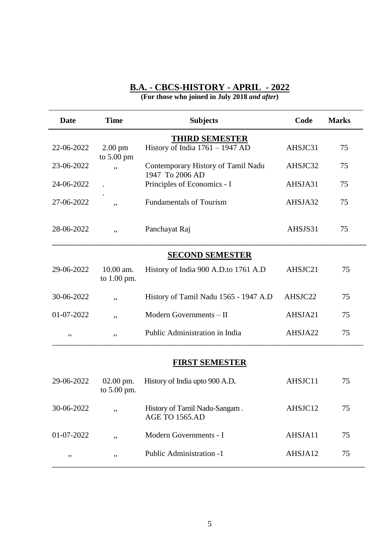**(For those who joined in July 2018** *and after***)**

| <b>Date</b> | <b>Time</b>                  | <b>Subjects</b>                                       | Code    | <b>Marks</b> |
|-------------|------------------------------|-------------------------------------------------------|---------|--------------|
|             |                              | <b>THIRD SEMESTER</b>                                 |         |              |
| 22-06-2022  | $2.00 \text{ pm}$            | History of India $1761 - 1947$ AD                     | AHSJC31 | 75           |
| 23-06-2022  | to $5.00 \text{ pm}$<br>,,   | Contemporary History of Tamil Nadu<br>1947 To 2006 AD | AHSJC32 | 75           |
| 24-06-2022  |                              | Principles of Economics - I                           | AHSJA31 | 75           |
| 27-06-2022  | ,,                           | <b>Fundamentals of Tourism</b>                        | AHSJA32 | 75           |
| 28-06-2022  | ,,                           | Panchayat Raj                                         | AHSJS31 | 75           |
|             |                              | <b>SECOND SEMESTER</b>                                |         |              |
| 29-06-2022  | $10.00$ am.<br>to $1.00$ pm. | History of India 900 A.D.to 1761 A.D                  | AHSJC21 | 75           |
| 30-06-2022  | ,,                           | History of Tamil Nadu 1565 - 1947 A.D                 | AHSJC22 | 75           |
| 01-07-2022  | ,,                           | Modern Governments - II                               | AHSJA21 | 75           |
| ,,          | ,,                           | Public Administration in India                        | AHSJA22 | 75           |
|             |                              |                                                       |         |              |

### **FIRST SEMESTER**

| 29-06-2022 | $02.00 \text{ pm}$ .<br>to $5.00$ pm. | History of India upto 900 A.D.                         | AHSJC11 | 75 |
|------------|---------------------------------------|--------------------------------------------------------|---------|----|
| 30-06-2022 | ,,                                    | History of Tamil Nadu-Sangam.<br><b>AGE TO 1565.AD</b> | AHSJC12 | 75 |
| 01-07-2022 | ,,                                    | Modern Governments - I                                 | AHSJA11 | 75 |
| , ,        | , ,                                   | Public Administration -1                               | AHSJA12 | 75 |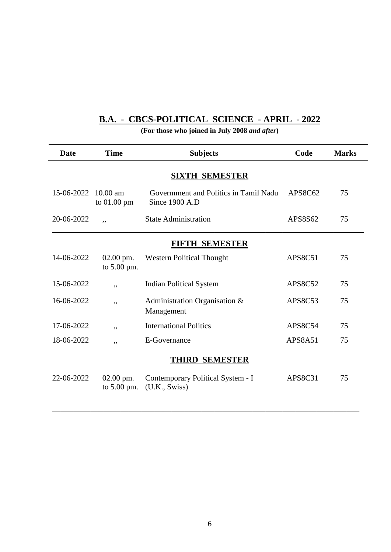### **B.A. - CBCS-POLITICAL SCIENCE - APRIL - 2022**

| <b>Date</b>           | <b>Time</b>                | <b>Subjects</b>                                         | Code           | <b>Marks</b> |
|-----------------------|----------------------------|---------------------------------------------------------|----------------|--------------|
|                       |                            | <b>SIXTH SEMESTER</b>                                   |                |              |
| 15-06-2022            | $10.00$ am<br>to 01.00 pm  | Government and Politics in Tamil Nadu<br>Since 1900 A.D | APS8C62        | 75           |
| 20-06-2022            | ,,                         | <b>State Administration</b>                             | APS8S62        | 75           |
|                       |                            | FIFTH SEMESTER                                          |                |              |
| 14-06-2022            | 02.00 pm.<br>to 5.00 pm.   | <b>Western Political Thought</b>                        | APS8C51        | 75           |
| 15-06-2022            | ,,                         | <b>Indian Political System</b>                          | <b>APS8C52</b> | 75           |
| 16-06-2022            | ,,                         | Administration Organisation &<br>Management             | APS8C53        | 75           |
| 17-06-2022            | ,,                         | <b>International Politics</b>                           | APS8C54        | 75           |
| 18-06-2022            | ,,                         | E-Governance                                            | APS8A51        | 75           |
| <b>THIRD SEMESTER</b> |                            |                                                         |                |              |
| 22-06-2022            | 02.00 pm.<br>to $5.00$ pm. | Contemporary Political System - I<br>(U.K., Swiss)      | APS8C31        | 75           |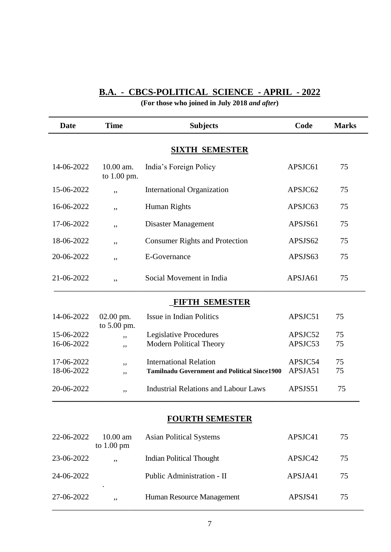# **B.A. - CBCS-POLITICAL SCIENCE - APRIL - 2022**

| <b>Date</b> | <b>Time</b>                | <b>Subjects</b>                                     | Code    | <b>Marks</b> |
|-------------|----------------------------|-----------------------------------------------------|---------|--------------|
|             |                            | <b>SIXTH SEMESTER</b>                               |         |              |
| 14-06-2022  | 10.00 am.<br>to 1.00 pm.   | India's Foreign Policy                              | APSJC61 | 75           |
| 15-06-2022  | ,,                         | <b>International Organization</b>                   | APSJC62 | 75           |
| 16-06-2022  | ,,                         | Human Rights                                        | APSJC63 | 75           |
| 17-06-2022  | ,,                         | <b>Disaster Management</b>                          | APSJS61 | 75           |
| 18-06-2022  | ,,                         | <b>Consumer Rights and Protection</b>               | APSJS62 | 75           |
| 20-06-2022  | ,,                         | <b>E-Governance</b>                                 | APSJS63 | 75           |
| 21-06-2022  | ,,                         | Social Movement in India                            | APSJA61 | 75           |
|             |                            | <b>FIFTH SEMESTER</b>                               |         |              |
| 14-06-2022  | $02.00$ pm.<br>to 5.00 pm. | Issue in Indian Politics                            | APSJC51 | 75           |
| 15-06-2022  | ,,                         | Legislative Procedures                              | APSJC52 | 75           |
| 16-06-2022  | ,,                         | Modern Political Theory                             | APSJC53 | 75           |
| 17-06-2022  |                            | <b>International Relation</b>                       | APSJC54 | 75           |
| 18-06-2022  | ,,<br>,,                   | <b>Tamilnadu Government and Political Since1900</b> | APSJA51 | 75           |
| 20-06-2022  | ,,                         | <b>Industrial Relations and Labour Laws</b>         | APSJS51 | 75           |
|             |                            | <b>FOURTH SEMESTER</b>                              |         |              |
| 22-06-2022  | 10.00 am                   | <b>Asian Political Systems</b>                      | APSJC41 | 75           |

| 22-06-2022 | $10.00 \text{ am}$<br>to $1.00 \text{ pm}$ | Asian Political Systems         | APSJC41 | 75 |  |
|------------|--------------------------------------------|---------------------------------|---------|----|--|
| 23-06-2022 | ,,                                         | <b>Indian Political Thought</b> | APSJC42 | 75 |  |
| 24-06-2022 |                                            | Public Administration - II      | APSJA41 | 75 |  |
| 27-06-2022 | ٠<br>,,                                    | Human Resource Management       | APSJS41 | 75 |  |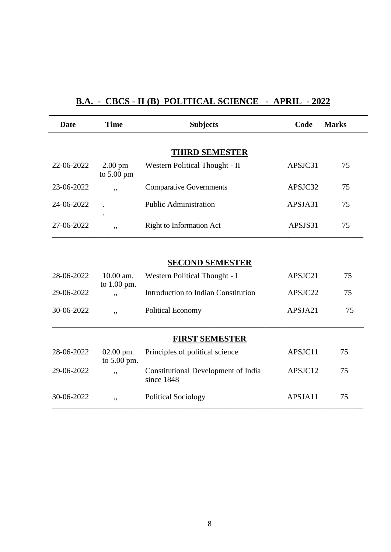# **B.A. - CBCS - II (B) POLITICAL SCIENCE - APRIL - 2022**

| <b>Date</b>           | <b>Time</b>                       | <b>Subjects</b>                                          | Code    | <b>Marks</b> |  |  |
|-----------------------|-----------------------------------|----------------------------------------------------------|---------|--------------|--|--|
|                       |                                   |                                                          |         |              |  |  |
|                       | <b>THIRD SEMESTER</b>             |                                                          |         |              |  |  |
| 22-06-2022            | $2.00$ pm<br>to $5.00 \text{ pm}$ | Western Political Thought - II                           | APSJC31 | 75           |  |  |
| 23-06-2022            | , ,                               | <b>Comparative Governments</b>                           | APSJC32 | 75           |  |  |
| 24-06-2022            |                                   | <b>Public Administration</b>                             | APSJA31 | 75           |  |  |
| 27-06-2022            | ,,                                | <b>Right to Information Act</b>                          | APSJS31 | 75           |  |  |
|                       |                                   |                                                          |         |              |  |  |
|                       |                                   | <b>SECOND SEMESTER</b>                                   |         |              |  |  |
| 28-06-2022            | 10.00 am.<br>to $1.00$ pm.        | Western Political Thought - I                            | APSJC21 | 75           |  |  |
| 29-06-2022            | , ,                               | <b>Introduction to Indian Constitution</b>               | APSJC22 | 75           |  |  |
| 30-06-2022            | ,,                                | <b>Political Economy</b>                                 | APSJA21 | 75           |  |  |
| <b>FIRST SEMESTER</b> |                                   |                                                          |         |              |  |  |
| 28-06-2022            | $02.00$ pm.<br>to 5.00 pm.        | Principles of political science                          | APSJC11 | 75           |  |  |
| 29-06-2022            | ,,                                | <b>Constitutional Development of India</b><br>since 1848 | APSJC12 | 75           |  |  |
| 30-06-2022            | ,,                                | <b>Political Sociology</b>                               | APSJA11 | 75           |  |  |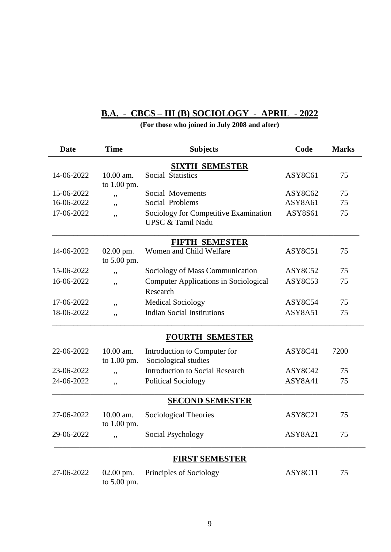# **B.A. - CBCS – III (B) SOCIOLOGY - APRIL - 2022**

| <b>Date</b>           | <b>Time</b>                | <b>Subjects</b>                                            | Code           | <b>Marks</b> |  |  |
|-----------------------|----------------------------|------------------------------------------------------------|----------------|--------------|--|--|
| <b>SIXTH SEMESTER</b> |                            |                                                            |                |              |  |  |
| 14-06-2022            | 10.00 am.<br>to 1.00 pm.   | Social Statistics                                          | ASY8C61        | 75           |  |  |
| 15-06-2022            | ,,                         | Social Movements                                           | ASY8C62        | 75           |  |  |
| 16-06-2022            | ,,                         | Social Problems                                            | ASY8A61        | 75           |  |  |
| 17-06-2022            | ,,                         | Sociology for Competitive Examination<br>UPSC & Tamil Nadu | <b>ASY8S61</b> | 75           |  |  |
|                       |                            | <b>FIFTH SEMESTER</b>                                      |                |              |  |  |
| 14-06-2022            | $02.00$ pm.<br>to 5.00 pm. | Women and Child Welfare                                    | ASY8C51        | 75           |  |  |
| 15-06-2022            | ,,                         | Sociology of Mass Communication                            | ASY8C52        | 75           |  |  |
| 16-06-2022            | ,,                         | <b>Computer Applications in Sociological</b><br>Research   | ASY8C53        | 75           |  |  |
| 17-06-2022            | ,,                         | <b>Medical Sociology</b>                                   | ASY8C54        | 75           |  |  |
| 18-06-2022            | ,,                         | <b>Indian Social Institutions</b>                          | ASY8A51        | 75           |  |  |
|                       |                            | <b>FOURTH SEMESTER</b>                                     |                |              |  |  |
| 22-06-2022            | 10.00 am.<br>to $1.00$ pm. | Introduction to Computer for<br>Sociological studies       | ASY8C41        | 7200         |  |  |
| 23-06-2022            | ,,                         | <b>Introduction to Social Research</b>                     | ASY8C42        | 75           |  |  |
| 24-06-2022            | ,,                         | <b>Political Sociology</b>                                 | ASY8A41        | 75           |  |  |
|                       |                            | <b>SECOND SEMESTER</b>                                     |                |              |  |  |
| 27-06-2022            | 10.00 am.<br>to 1.00 pm.   | Sociological Theories                                      | ASY8C21        | 75           |  |  |
| 29-06-2022            | ,,                         | <b>Social Psychology</b>                                   | ASY8A21        | 75           |  |  |
|                       |                            | <b>FIRST SEMESTER</b>                                      |                |              |  |  |
| 27-06-2022            | $02.00$ pm.<br>to 5.00 pm. | Principles of Sociology                                    | ASY8C11        | 75           |  |  |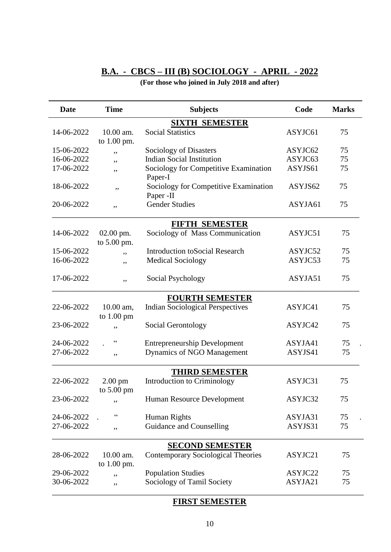# **B.A. - CBCS – III (B) SOCIOLOGY - APRIL - 2022**

### **(For those who joined in July 2018 and after)**

| <b>Date</b> | <b>Time</b>                         | <b>Subjects</b>                                    | Code    | <b>Marks</b> |
|-------------|-------------------------------------|----------------------------------------------------|---------|--------------|
|             |                                     | <b>SIXTH SEMESTER</b>                              |         |              |
| 14-06-2022  | 10.00 am.                           | <b>Social Statistics</b>                           | ASYJC61 | 75           |
|             | to 1.00 pm.                         |                                                    |         |              |
| 15-06-2022  | ,,                                  | Sociology of Disasters                             | ASYJC62 | 75           |
| 16-06-2022  | ,,                                  | <b>Indian Social Institution</b>                   | ASYJC63 | 75           |
| 17-06-2022  | ,,                                  | Sociology for Competitive Examination<br>Paper-I   | ASYJS61 | 75           |
| 18-06-2022  | ,,                                  | Sociology for Competitive Examination<br>Paper -II | ASYJS62 | 75           |
| 20-06-2022  | ,,                                  | <b>Gender Studies</b>                              | ASYJA61 | 75           |
|             |                                     | FIFTH SEMESTER                                     |         |              |
| 14-06-2022  | $02.00$ pm.<br>to 5.00 pm.          | Sociology of Mass Communication                    | ASYJC51 | 75           |
| 15-06-2022  | ,,                                  | <b>Introduction toSocial Research</b>              | ASYJC52 | 75           |
| 16-06-2022  | ,,                                  | <b>Medical Sociology</b>                           | ASYJC53 | 75           |
| 17-06-2022  | ,,                                  | Social Psychology                                  | ASYJA51 | 75           |
|             |                                     | <b>FOURTH SEMESTER</b>                             |         |              |
| 22-06-2022  | $10.00$ am,<br>to $1.00 \text{ pm}$ | <b>Indian Sociological Perspectives</b>            | ASYJC41 | 75           |
| 23-06-2022  | ,,                                  | Social Gerontology                                 | ASYJC42 | 75           |
| 24-06-2022  | $\zeta$ $\zeta$                     | <b>Entrepreneurship Development</b>                | ASYJA41 | 75           |
| 27-06-2022  | ,,                                  | Dynamics of NGO Management                         | ASYJS41 | 75           |
|             |                                     | <b>THIRD SEMESTER</b>                              |         |              |
| 22-06-2022  | $2.00 \text{ pm}$<br>to 5.00 pm     | Introduction to Criminology                        | ASYJC31 | 75           |
| 23-06-2022  | ,,                                  | Human Resource Development                         | ASYJC32 | 75           |
| 24-06-2022  | cc                                  | <b>Human Rights</b>                                | ASYJA31 | 75           |
| 27-06-2022  | ,,                                  | Guidance and Counselling                           | ASYJS31 | 75           |
|             |                                     | <b>SECOND SEMESTER</b>                             |         |              |
| 28-06-2022  | 10.00 am.<br>to 1.00 pm.            | <b>Contemporary Sociological Theories</b>          | ASYJC21 | 75           |
| 29-06-2022  | ,,                                  | <b>Population Studies</b>                          | ASYJC22 | 75           |
| 30-06-2022  | ,,                                  | Sociology of Tamil Society                         | ASYJA21 | 75           |

# **FIRST SEMESTER**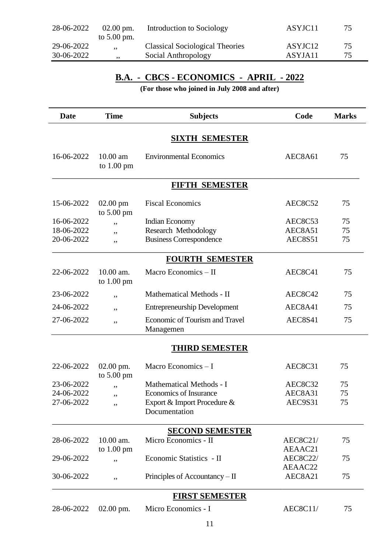| 28-06-2022 | $02.00 \text{ pm}$ .<br>to $5.00$ pm. | Introduction to Sociology              | ASYJC11             | 75  |
|------------|---------------------------------------|----------------------------------------|---------------------|-----|
| 29-06-2022 | , ,                                   | <b>Classical Sociological Theories</b> | ASYJC <sub>12</sub> | 75  |
| 30-06-2022 | , ,                                   | Social Anthropology                    | ASYJA11             | 75. |

# **B.A. - CBCS - ECONOMICS - APRIL - 2022**

| Date                  | <b>Time</b>                         | <b>Subjects</b>                              | Code               | <b>Marks</b> |  |  |
|-----------------------|-------------------------------------|----------------------------------------------|--------------------|--------------|--|--|
| <b>SIXTH SEMESTER</b> |                                     |                                              |                    |              |  |  |
| 16-06-2022            | $10.00$ am<br>to $1.00 \text{ pm}$  | <b>Environmental Economics</b>               | AEC8A61            | 75           |  |  |
|                       |                                     | <b>FIFTH SEMESTER</b>                        |                    |              |  |  |
| 15-06-2022            | $02.00$ pm<br>to $5.00 \text{ pm}$  | <b>Fiscal Economics</b>                      | AEC8C52            | 75           |  |  |
| 16-06-2022            | ,,                                  | Indian Economy                               | AEC8C53            | 75           |  |  |
| 18-06-2022            | ,,                                  | Research Methodology                         | AEC8A51            | 75           |  |  |
| 20-06-2022            | ,,                                  | <b>Business Correspondence</b>               | <b>AEC8S51</b>     | 75           |  |  |
|                       |                                     | <b>FOURTH SEMESTER</b>                       |                    |              |  |  |
| 22-06-2022            | 10.00 am.<br>to $1.00 \text{ pm}$   | Macro Economics - II                         | AEC8C41            | 75           |  |  |
| 23-06-2022            | ,,                                  | Mathematical Methods - II                    | AEC8C42            | 75           |  |  |
| 24-06-2022            | ,,                                  | <b>Entrepreneurship Development</b>          | AEC8A41            | 75           |  |  |
| 27-06-2022            | ,,                                  | Economic of Tourism and Travel<br>Managemen  | AEC8S41            | 75           |  |  |
|                       |                                     | <b>THIRD SEMESTER</b>                        |                    |              |  |  |
| 22-06-2022            | $02.00$ pm.<br>to $5.00 \text{ pm}$ | Macro Economics - I                          | AEC8C31            | 75           |  |  |
| 23-06-2022            |                                     | Mathematical Methods - I                     | AEC8C32            | 75           |  |  |
| 24-06-2022            | ,,                                  | Economics of Insurance                       | AEC8A31            | 75           |  |  |
| 27-06-2022            | ,,                                  | Export & Import Procedure &<br>Documentation | AEC9S31            | 75           |  |  |
|                       |                                     | <b>SECOND SEMESTER</b>                       |                    |              |  |  |
| 28-06-2022            | 10.00 am.                           | Micro Economics - II                         | <b>AEC8C21/</b>    | 75           |  |  |
|                       | to $1.00 \text{ pm}$                |                                              | AEAAC21            |              |  |  |
| 29-06-2022            | ,,                                  | Economic Statistics - II                     | <b>AEC8C22/</b>    | 75           |  |  |
| 30-06-2022            | ,,                                  | Principles of Accountancy $-$ II             | AEAAC22<br>AEC8A21 | 75           |  |  |
|                       |                                     |                                              |                    |              |  |  |
|                       |                                     | <b>FIRST SEMESTER</b>                        |                    |              |  |  |
| 28-06-2022            | $02.00$ pm.                         | Micro Economics - I                          | AEC8C11/           | 75           |  |  |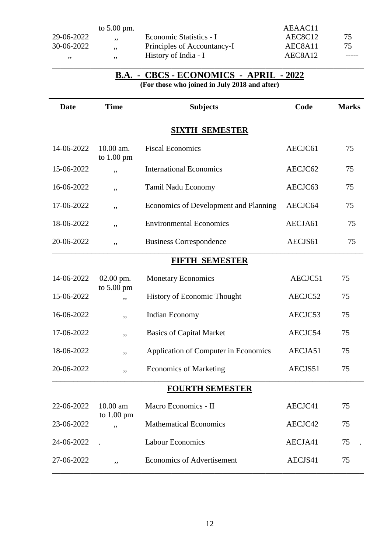|            | to $5.00$ pm. |                             | AEAAC11                          |       |
|------------|---------------|-----------------------------|----------------------------------|-------|
| 29-06-2022 | ,,            | Economic Statistics - I     | AEC8C12                          | 75    |
| 30-06-2022 | , ,           | Principles of Accountancy-I | AEC <sub>8</sub> A <sub>11</sub> | 75.   |
| ,,         | ,,            | History of India - I        | AEC8A12                          | ----- |
|            |               |                             |                                  |       |

#### **B.A. - CBCS - ECONOMICS - APRIL - 2022 (For those who joined in July 2018 and after)**

| <b>Date</b>            | <b>Time</b>                       | <b>Subjects</b>                       | Code    | <b>Marks</b> |  |  |
|------------------------|-----------------------------------|---------------------------------------|---------|--------------|--|--|
| <b>SIXTH SEMESTER</b>  |                                   |                                       |         |              |  |  |
| 14-06-2022             | 10.00 am.<br>to $1.00 \text{ pm}$ | <b>Fiscal Economics</b>               | AECJC61 | 75           |  |  |
| 15-06-2022             | ,,                                | <b>International Economics</b>        | AECJC62 | 75           |  |  |
| 16-06-2022             | ,,                                | Tamil Nadu Economy                    | AECJC63 | 75           |  |  |
| 17-06-2022             | ,,                                | Economics of Development and Planning | AECJC64 | 75           |  |  |
| 18-06-2022             | ,,                                | <b>Environmental Economics</b>        | AECJA61 | 75           |  |  |
| 20-06-2022             | ,,                                | <b>Business Correspondence</b>        | AECJS61 | 75           |  |  |
|                        |                                   | <b>FIFTH SEMESTER</b>                 |         |              |  |  |
| 14-06-2022             | 02.00 pm.                         | <b>Monetary Economics</b>             | AECJC51 | 75           |  |  |
| 15-06-2022             | to 5.00 pm<br>,,                  | <b>History of Economic Thought</b>    | AECJC52 | 75           |  |  |
| 16-06-2022             | ,,                                | Indian Economy                        | AECJC53 | 75           |  |  |
| 17-06-2022             | ,,                                | <b>Basics of Capital Market</b>       | AECJC54 | 75           |  |  |
| 18-06-2022             | ,,                                | Application of Computer in Economics  | AECJA51 | 75           |  |  |
| 20-06-2022             | ,,                                | <b>Economics of Marketing</b>         | AECJS51 | 75           |  |  |
| <b>FOURTH SEMESTER</b> |                                   |                                       |         |              |  |  |
| 22-06-2022             | 10.00 am                          | Macro Economics - II                  | AECJC41 | 75           |  |  |
| 23-06-2022             | to 1.00 pm<br>,,                  | <b>Mathematical Economics</b>         | AECJC42 | 75           |  |  |
| 24-06-2022             |                                   | <b>Labour Economics</b>               | AECJA41 | 75           |  |  |
| 27-06-2022             | ,,                                | <b>Economics of Advertisement</b>     | AECJS41 | 75           |  |  |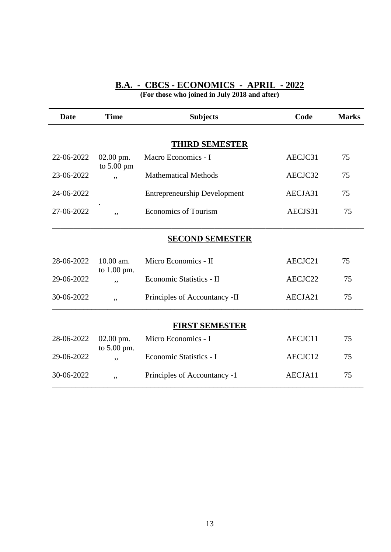#### **B.A. - CBCS - ECONOMICS - APRIL - 2022 (For those who joined in July 2018 and after)**

| <b>Date</b>           | <b>Time</b>                       | <b>Subjects</b>                     | Code    | <b>Marks</b> |  |
|-----------------------|-----------------------------------|-------------------------------------|---------|--------------|--|
|                       |                                   |                                     |         |              |  |
|                       |                                   | <b>THIRD SEMESTER</b>               |         |              |  |
| 22-06-2022            | 02.00 pm.<br>to $5.00 \text{ pm}$ | Macro Economics - I                 | AECJC31 | 75           |  |
| 23-06-2022            | ,,                                | <b>Mathematical Methods</b>         | AECJC32 | 75           |  |
| 24-06-2022            |                                   | <b>Entrepreneurship Development</b> | AECJA31 | 75           |  |
| 27-06-2022            | ,,                                | <b>Economics of Tourism</b>         | AECJS31 | 75           |  |
|                       |                                   | <b>SECOND SEMESTER</b>              |         |              |  |
| 28-06-2022            | 10.00 am.<br>to 1.00 pm.          | Micro Economics - II                | AECJC21 | 75           |  |
| 29-06-2022            | ,,                                | Economic Statistics - II            | AECJC22 | 75           |  |
| 30-06-2022            | ,,                                | Principles of Accountancy -II       | AECJA21 | 75           |  |
| <b>FIRST SEMESTER</b> |                                   |                                     |         |              |  |
| 28-06-2022            | 02.00 pm.<br>to 5.00 pm.          | Micro Economics - I                 | AECJC11 | 75           |  |
| 29-06-2022            | , ,                               | Economic Statistics - I             | AECJC12 | 75           |  |
| 30-06-2022            | ,,                                | Principles of Accountancy -1        | AECJA11 | 75           |  |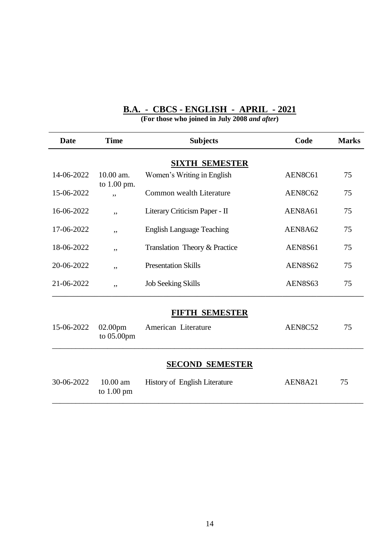| <b>Date</b> | <b>Time</b>                      | <b>Subjects</b>                      | Code           | <b>Marks</b> |
|-------------|----------------------------------|--------------------------------------|----------------|--------------|
|             |                                  | <b>SIXTH SEMESTER</b>                |                |              |
| 14-06-2022  | 10.00 am.                        | Women's Writing in English           | AEN8C61        | 75           |
| 15-06-2022  | to $1.00$ pm.<br>, ,             | Common wealth Literature             | AEN8C62        | 75           |
| 16-06-2022  | ,,                               | Literary Criticism Paper - II        | AEN8A61        | 75           |
| 17-06-2022  | ,,                               | <b>English Language Teaching</b>     | AEN8A62        | 75           |
| 18-06-2022  | ,,                               | Translation Theory & Practice        | <b>AEN8S61</b> | 75           |
| 20-06-2022  | ,,                               | <b>Presentation Skills</b>           | <b>AEN8S62</b> | 75           |
| 21-06-2022  | ,,                               | <b>Job Seeking Skills</b>            | AEN8S63        | 75           |
|             |                                  | <b>FIFTH SEMESTER</b>                |                |              |
| 15-06-2022  | 02.00pm<br>to 05.00pm            | American Literature                  | AEN8C52        | 75           |
|             |                                  | <b>SECOND SEMESTER</b>               |                |              |
| 30-06-2022  | 10.00 am<br>to $1.00 \text{ pm}$ | <b>History of English Literature</b> | AEN8A21        | 75           |

### **B.A. - CBCS - ENGLISH - APRIL - 2021**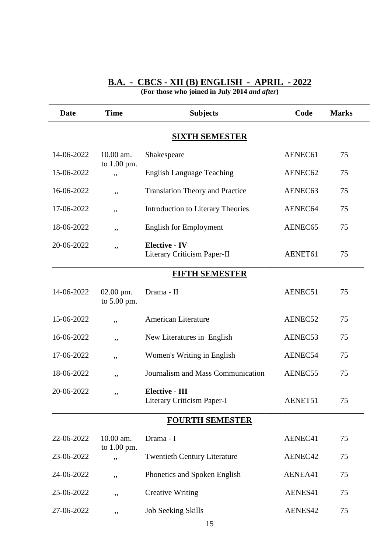#### **B.A. - CBCS - XII (B) ENGLISH - APRIL - 2022 (For those who joined in July 2014** *and after***)**

| <b>Date</b>            | <b>Time</b>                | <b>Subjects</b>                                     | Code    | <b>Marks</b> |  |  |  |
|------------------------|----------------------------|-----------------------------------------------------|---------|--------------|--|--|--|
|                        | <b>SIXTH SEMESTER</b>      |                                                     |         |              |  |  |  |
| 14-06-2022             | 10.00 am.                  | Shakespeare                                         | AENEC61 | 75           |  |  |  |
| 15-06-2022             | to 1.00 pm.<br>,,          | <b>English Language Teaching</b>                    | AENEC62 | 75           |  |  |  |
| 16-06-2022             | ,,                         | <b>Translation Theory and Practice</b>              | AENEC63 | 75           |  |  |  |
| 17-06-2022             | ,,                         | <b>Introduction to Literary Theories</b>            | AENEC64 | 75           |  |  |  |
| 18-06-2022             | ,,                         | <b>English for Employment</b>                       | AENEC65 | 75           |  |  |  |
| 20-06-2022             | ,,                         | <b>Elective - IV</b><br>Literary Criticism Paper-II | AENET61 | 75           |  |  |  |
|                        |                            | <b>FIFTH SEMESTER</b>                               |         |              |  |  |  |
| 14-06-2022             | 02.00 pm.<br>to 5.00 pm.   | Drama - II                                          | AENEC51 | 75           |  |  |  |
| 15-06-2022             | ,,                         | <b>American Literature</b>                          | AENEC52 | 75           |  |  |  |
| 16-06-2022             | ,,                         | New Literatures in English                          | AENEC53 | 75           |  |  |  |
| 17-06-2022             | ,,                         | Women's Writing in English                          | AENEC54 | 75           |  |  |  |
| 18-06-2022             | ,,                         | Journalism and Mass Communication                   | AENEC55 | 75           |  |  |  |
| 20-06-2022             | ,,                         | <b>Elective - III</b><br>Literary Criticism Paper-I | AENET51 | 75           |  |  |  |
| <b>FOURTH SEMESTER</b> |                            |                                                     |         |              |  |  |  |
| 22-06-2022             | 10.00 am.<br>to $1.00$ pm. | Drama - I                                           | AENEC41 | 75           |  |  |  |
| 23-06-2022             | ,,                         | <b>Twentieth Century Literature</b>                 | AENEC42 | 75           |  |  |  |
| 24-06-2022             | ,,                         | Phonetics and Spoken English                        | AENEA41 | 75           |  |  |  |
| 25-06-2022             | ,,                         | <b>Creative Writing</b>                             | AENES41 | 75           |  |  |  |
| 27-06-2022             | ,,                         | <b>Job Seeking Skills</b>                           | AENES42 | 75           |  |  |  |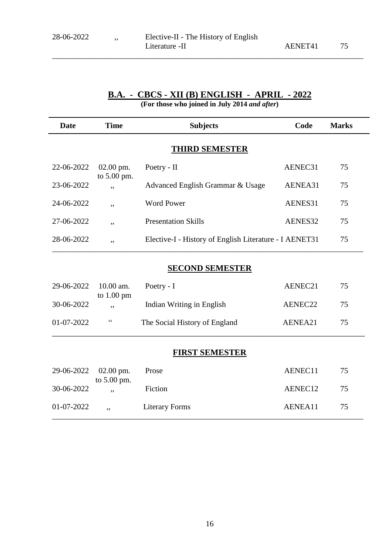\_\_\_\_\_\_\_\_\_\_\_\_\_\_\_\_\_\_\_\_\_\_\_\_\_\_\_\_\_\_\_\_\_\_\_\_\_\_\_\_\_\_\_\_\_\_\_\_\_\_\_\_\_\_\_\_\_\_\_\_\_\_\_\_\_\_\_\_\_\_\_\_\_\_\_\_\_\_\_

# **B.A. - CBCS - XII (B) ENGLISH - APRIL - 2022**

**(For those who joined in July 2014** *and after***)**

| Date       | <b>Time</b>          | <b>Subjects</b>                                        | Code    | <b>Marks</b> |
|------------|----------------------|--------------------------------------------------------|---------|--------------|
|            |                      | <b>THIRD SEMESTER</b>                                  |         |              |
| 22-06-2022 | $02.00$ pm.          | Poetry - II                                            | AENEC31 | 75           |
| 23-06-2022 | to $5.00$ pm.<br>, , | Advanced English Grammar & Usage                       | AENEA31 | 75           |
| 24-06-2022 | ,,                   | Word Power                                             | AENES31 | 75           |
| 27-06-2022 | ,,                   | <b>Presentation Skills</b>                             | AENES32 | 75           |
| 28-06-2022 | , ,                  | Elective-I - History of English Literature - I AENET31 |         | 75           |

#### **SECOND SEMESTER**

| 29-06-2022 10.00 am. | to $1.00 \text{ pm}$ | Poetry - $I$                  | AENEC21 | 75 |  |
|----------------------|----------------------|-------------------------------|---------|----|--|
| 30-06-2022           | ,,                   | Indian Writing in English     | AENEC22 | 75 |  |
| $01-07-2022$         | cc                   | The Social History of England | AENEA21 | 75 |  |

### **FIRST SEMESTER**

| $29-06-2022$ 02.00 pm. | to $5.00$ pm. | Prose                 | AENEC11 | 75. |
|------------------------|---------------|-----------------------|---------|-----|
| 30-06-2022             | ۰,            | Fiction               | AENEC12 | 75  |
| 01-07-2022             | ,,            | <b>Literary Forms</b> | AENEA11 | 75  |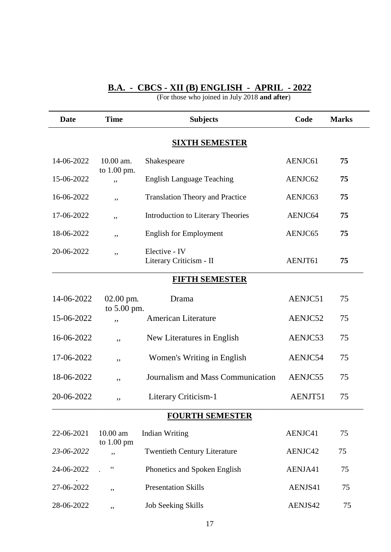#### **B.A. - CBCS - XII (B) ENGLISH - APRIL - 2022**

| <b>Date</b>            | <b>Time</b>                      | <b>Subjects</b>                          | Code    | <b>Marks</b> |  |
|------------------------|----------------------------------|------------------------------------------|---------|--------------|--|
|                        |                                  | <b>SIXTH SEMESTER</b>                    |         |              |  |
| 14-06-2022             | 10.00 am.                        | Shakespeare                              | AENJC61 | 75           |  |
| 15-06-2022             | to 1.00 pm.<br>,,                | <b>English Language Teaching</b>         | AENJC62 | 75           |  |
| 16-06-2022             | ,,                               | <b>Translation Theory and Practice</b>   | AENJC63 | 75           |  |
| 17-06-2022             | ,,                               | <b>Introduction to Literary Theories</b> | AENJC64 | 75           |  |
| 18-06-2022             | ,,                               | <b>English for Employment</b>            | AENJC65 | 75           |  |
| 20-06-2022             | ,,                               | Elective - IV<br>Literary Criticism - II | AENJT61 | 75           |  |
|                        |                                  | <b>FIFTH SEMESTER</b>                    |         |              |  |
| 14-06-2022             | 02.00 pm.                        | Drama                                    | AENJC51 | 75           |  |
| 15-06-2022             | to 5.00 pm.<br>,,                | <b>American Literature</b>               | AENJC52 | 75           |  |
| 16-06-2022             | ,,                               | New Literatures in English               | AENJC53 | 75           |  |
| 17-06-2022             | ,,                               | Women's Writing in English               | AENJC54 | 75           |  |
| 18-06-2022             | ,,                               | Journalism and Mass Communication        | AENJC55 | 75           |  |
| 20-06-2022             | ,,                               | Literary Criticism-1                     | AENJT51 | 75           |  |
| <b>FOURTH SEMESTER</b> |                                  |                                          |         |              |  |
| 22-06-2021             | 10.00 am<br>to $1.00 \text{ pm}$ | <b>Indian Writing</b>                    | AENJC41 | 75           |  |
| 23-06-2022             | ,,                               | <b>Twentieth Century Literature</b>      | AENJC42 | 75           |  |
| 24-06-2022             | $\subset \subset$                | Phonetics and Spoken English             | AENJA41 | 75           |  |
| 27-06-2022             | ,,                               | <b>Presentation Skills</b>               | AENJS41 | 75           |  |
| 28-06-2022             | ,,                               | <b>Job Seeking Skills</b>                | AENJS42 | 75           |  |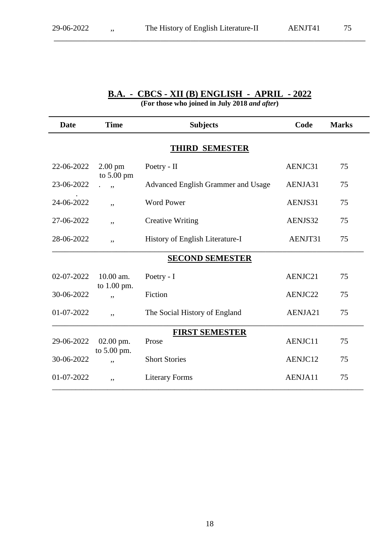\_\_\_\_\_\_\_\_\_\_\_\_\_\_\_\_\_\_\_\_\_\_\_\_\_\_\_\_\_\_\_\_\_\_\_\_\_\_\_\_\_\_\_\_\_\_\_\_\_\_\_\_\_\_\_\_\_\_\_\_\_\_\_\_\_\_\_\_\_\_\_\_\_

# **B.A. - CBCS - XII (B) ENGLISH - APRIL - 2022**

| <b>Date</b> | <b>Time</b>                               | <b>Subjects</b>                    | Code    | <b>Marks</b> |
|-------------|-------------------------------------------|------------------------------------|---------|--------------|
|             |                                           | <b>THIRD SEMESTER</b>              |         |              |
| 22-06-2022  | $2.00 \text{ pm}$<br>to $5.00 \text{ pm}$ | Poetry - II                        | AENJC31 | 75           |
| 23-06-2022  | ,                                         | Advanced English Grammer and Usage | AENJA31 | 75           |
| 24-06-2022  | ,,                                        | <b>Word Power</b>                  | AENJS31 | 75           |
| 27-06-2022  | ,,                                        | <b>Creative Writing</b>            | AENJS32 | 75           |
| 28-06-2022  | ,,                                        | History of English Literature-I    | AENJT31 | 75           |
|             |                                           | <b>SECOND SEMESTER</b>             |         |              |
| 02-07-2022  | 10.00 am.                                 | Poetry - I                         | AENJC21 | 75           |
| 30-06-2022  | to $1.00$ pm.<br>, ,                      | Fiction                            | AENJC22 | 75           |
| 01-07-2022  | ,,                                        | The Social History of England      | AENJA21 | 75           |
|             |                                           | <b>FIRST SEMESTER</b>              |         |              |
| 29-06-2022  | $02.00$ pm.<br>to 5.00 pm.                | Prose                              | AENJC11 | 75           |
| 30-06-2022  | ,,                                        | <b>Short Stories</b>               | AENJC12 | 75           |
| 01-07-2022  | ,,                                        | <b>Literary Forms</b>              | AENJA11 | 75           |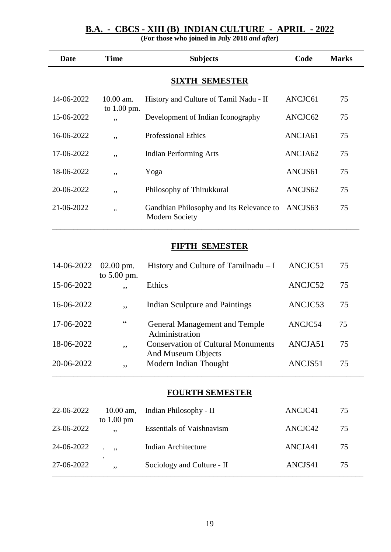# **B.A. - CBCS - XIII (B) INDIAN CULTURE - APRIL - 2022**

**(For those who joined in July 2018** *and after***)**

| <b>Date</b> | <b>Time</b>                | <b>Subjects</b>                                                   | Code    | <b>Marks</b> |
|-------------|----------------------------|-------------------------------------------------------------------|---------|--------------|
|             |                            | <b>SIXTH SEMESTER</b>                                             |         |              |
| 14-06-2022  | $10.00$ am.<br>to 1.00 pm. | History and Culture of Tamil Nadu - II                            | ANCJC61 | 75           |
| 15-06-2022  | , ,                        | Development of Indian Iconography                                 | ANCJC62 | 75           |
| 16-06-2022  | ,,                         | <b>Professional Ethics</b>                                        | ANCJA61 | 75           |
| 17-06-2022  | ,,                         | <b>Indian Performing Arts</b>                                     | ANCJA62 | 75           |
| 18-06-2022  | ,,                         | Yoga                                                              | ANCJS61 | 75           |
| 20-06-2022  | ,,                         | Philosophy of Thirukkural                                         | ANCJS62 | 75           |
| 21-06-2022  | ,,                         | Gandhian Philosophy and Its Relevance to<br><b>Modern Society</b> | ANCJS63 | 75           |

### **FIFTH SEMESTER**

| 14-06-2022 | $02.00$ pm.<br>to $5.00$ pm. | History and Culture of Tamilnadu $-I$                           | ANCJC51 | 75 |
|------------|------------------------------|-----------------------------------------------------------------|---------|----|
| 15-06-2022 | $, \,$                       | <b>Ethics</b>                                                   | ANCJC52 | 75 |
| 16-06-2022 | , ,                          | <b>Indian Sculpture and Paintings</b>                           | ANCJC53 | 75 |
| 17-06-2022 | cc                           | <b>General Management and Temple</b><br>Administration          | ANCJC54 | 75 |
| 18-06-2022 | ,,                           | <b>Conservation of Cultural Monuments</b><br>And Museum Objects | ANCJA51 | 75 |
| 20-06-2022 | ,,                           | Modern Indian Thought                                           | ANCJS51 | 75 |

#### **FOURTH SEMESTER**

| 22-06-2022 | $10.00$ am,<br>to $1.00 \text{ pm}$ | Indian Philosophy - II           | ANCJC41 | 75 |  |
|------------|-------------------------------------|----------------------------------|---------|----|--|
| 23-06-2022 | ,,                                  | <b>Essentials of Vaishnavism</b> | ANCJC42 | 75 |  |
| 24-06-2022 | $\cdot$ ,                           | Indian Architecture              | ANCJA41 | 75 |  |
| 27-06-2022 | $\bullet$<br>,,                     | Sociology and Culture - II       | ANCJS41 | 75 |  |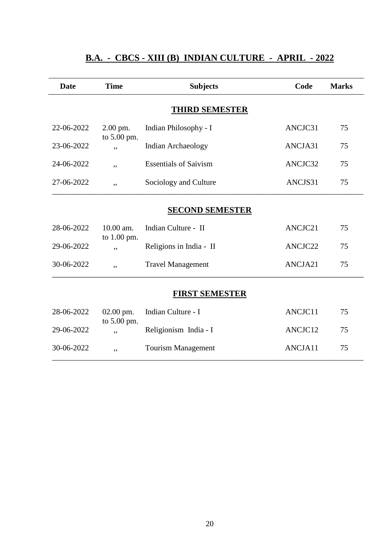| <b>Date</b>            | <b>Time</b>        | <b>Subjects</b>              | Code    | <b>Marks</b> |  |
|------------------------|--------------------|------------------------------|---------|--------------|--|
|                        |                    | <b>THIRD SEMESTER</b>        |         |              |  |
| 22-06-2022             | $2.00$ pm.         | Indian Philosophy - I        | ANCJC31 | 75           |  |
| 23-06-2022             | to 5.00 pm.<br>, , | Indian Archaeology           | ANCJA31 | 75           |  |
| 24-06-2022             | ,,                 | <b>Essentials of Saivism</b> | ANCJC32 | 75           |  |
| 27-06-2022             | ,,                 | Sociology and Culture        | ANCJS31 | 75           |  |
| <b>SECOND SEMESTER</b> |                    |                              |         |              |  |
| 28-06-2022             | 10.00 am.          | Indian Culture - II          | ANCJC21 | 75           |  |
| 29-06-2022             | to 1.00 pm.<br>,,  | Religions in India - II      | ANCJC22 | 75           |  |
| 30-06-2022             | ,,                 | <b>Travel Management</b>     | ANCJA21 | 75           |  |
| <b>FIRST SEMESTER</b>  |                    |                              |         |              |  |
| 28-06-2022             | $02.00$ pm.        | Indian Culture - I           | ANCJC11 | 75           |  |
| 29-06-2022             | to 5.00 pm.<br>,,  | Religionism India - I        | ANCJC12 | 75           |  |
| 30-06-2022             | ,,                 | <b>Tourism Management</b>    | ANCJA11 | 75           |  |

# **B.A. - CBCS - XIII (B)****INDIAN CULTURE - APRIL - 2022**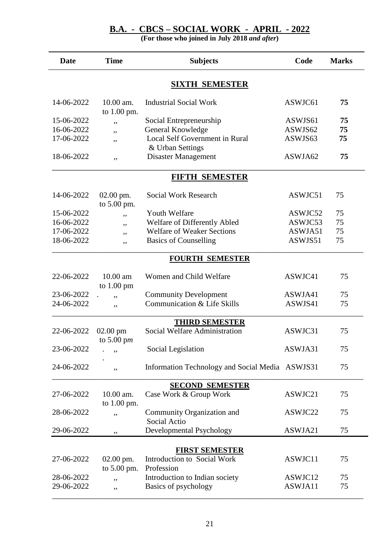#### **B.A. - CBCS – SOCIAL WORK - APRIL - 2022**

| <b>SIXTH SEMESTER</b><br>10.00 am.<br>14-06-2022<br><b>Industrial Social Work</b><br>ASWJC61<br>75<br>to 1.00 pm.<br>15-06-2022<br>ASWJS61<br>75<br>Social Entrepreneurship<br>,,<br>16-06-2022<br>General Knowledge<br>ASWJS62<br>75<br>,,<br>17-06-2022<br>Local Self Government in Rural<br>ASWJS63<br>75<br>,,<br>& Urban Settings<br>18-06-2022<br><b>Disaster Management</b><br>ASWJA62<br>75<br>,,<br><b>FIFTH SEMESTER</b><br>14-06-2022<br>02.00 pm.<br><b>Social Work Research</b><br>ASWJC51<br>75<br>to 5.00 pm.<br>15-06-2022<br>Youth Welfare<br>ASWJC52<br>75<br>,,<br>Welfare of Differently Abled<br>75<br>16-06-2022<br>ASWJC53<br>,,<br>17-06-2022<br><b>Welfare of Weaker Sections</b><br>ASWJA51<br>75<br>,,<br>18-06-2022<br>ASWJS51<br>75<br><b>Basics of Counselling</b><br>,,<br><b>FOURTH SEMESTER</b><br>22-06-2022<br>$10.00$ am<br>Women and Child Welfare<br>ASWJC41<br>75<br>to 1.00 pm<br>23-06-2022<br><b>Community Development</b><br>ASWJA41<br>75<br>,,<br>24-06-2022<br>Communication & Life Skills<br>ASWJS41<br>75<br>,,<br><b>THIRD SEMESTER</b><br>Social Welfare Administration<br>22-06-2022<br>ASWJC31<br>$02.00$ pm<br>75<br>to $5.00 \text{ pm}$<br>23-06-2022<br>ASWJA31<br>Social Legislation<br>75<br>,,<br>24-06-2022<br>75<br>Information Technology and Social Media ASWJS31<br>,,<br><b>SECOND SEMESTER</b><br>27-06-2022<br>10.00 am.<br>Case Work & Group Work<br>ASWJC21<br>75<br>to $1.00$ pm.<br>28-06-2022<br>Community Organization and<br>ASWJC22<br>75<br>,,<br>Social Actio<br>Developmental Psychology<br>ASWJA21<br>75<br>29-06-2022<br>,,<br><b>FIRST SEMESTER</b><br>Introduction to Social Work<br>27-06-2022<br>$02.00$ pm.<br>ASWJC11<br>75<br>to 5.00 pm.<br>Profession<br>28-06-2022<br>Introduction to Indian society<br>ASWJC12<br>75<br>,,<br>29-06-2022<br>Basics of psychology<br>ASWJA11<br>75<br>,, | <b>Date</b> | <b>Time</b> | <b>Subjects</b> | Code | <b>Marks</b> |  |  |
|------------------------------------------------------------------------------------------------------------------------------------------------------------------------------------------------------------------------------------------------------------------------------------------------------------------------------------------------------------------------------------------------------------------------------------------------------------------------------------------------------------------------------------------------------------------------------------------------------------------------------------------------------------------------------------------------------------------------------------------------------------------------------------------------------------------------------------------------------------------------------------------------------------------------------------------------------------------------------------------------------------------------------------------------------------------------------------------------------------------------------------------------------------------------------------------------------------------------------------------------------------------------------------------------------------------------------------------------------------------------------------------------------------------------------------------------------------------------------------------------------------------------------------------------------------------------------------------------------------------------------------------------------------------------------------------------------------------------------------------------------------------------------------------------------------------------------------------------------------------------------------|-------------|-------------|-----------------|------|--------------|--|--|
|                                                                                                                                                                                                                                                                                                                                                                                                                                                                                                                                                                                                                                                                                                                                                                                                                                                                                                                                                                                                                                                                                                                                                                                                                                                                                                                                                                                                                                                                                                                                                                                                                                                                                                                                                                                                                                                                                    |             |             |                 |      |              |  |  |
|                                                                                                                                                                                                                                                                                                                                                                                                                                                                                                                                                                                                                                                                                                                                                                                                                                                                                                                                                                                                                                                                                                                                                                                                                                                                                                                                                                                                                                                                                                                                                                                                                                                                                                                                                                                                                                                                                    |             |             |                 |      |              |  |  |
|                                                                                                                                                                                                                                                                                                                                                                                                                                                                                                                                                                                                                                                                                                                                                                                                                                                                                                                                                                                                                                                                                                                                                                                                                                                                                                                                                                                                                                                                                                                                                                                                                                                                                                                                                                                                                                                                                    |             |             |                 |      |              |  |  |
|                                                                                                                                                                                                                                                                                                                                                                                                                                                                                                                                                                                                                                                                                                                                                                                                                                                                                                                                                                                                                                                                                                                                                                                                                                                                                                                                                                                                                                                                                                                                                                                                                                                                                                                                                                                                                                                                                    |             |             |                 |      |              |  |  |
|                                                                                                                                                                                                                                                                                                                                                                                                                                                                                                                                                                                                                                                                                                                                                                                                                                                                                                                                                                                                                                                                                                                                                                                                                                                                                                                                                                                                                                                                                                                                                                                                                                                                                                                                                                                                                                                                                    |             |             |                 |      |              |  |  |
|                                                                                                                                                                                                                                                                                                                                                                                                                                                                                                                                                                                                                                                                                                                                                                                                                                                                                                                                                                                                                                                                                                                                                                                                                                                                                                                                                                                                                                                                                                                                                                                                                                                                                                                                                                                                                                                                                    |             |             |                 |      |              |  |  |
|                                                                                                                                                                                                                                                                                                                                                                                                                                                                                                                                                                                                                                                                                                                                                                                                                                                                                                                                                                                                                                                                                                                                                                                                                                                                                                                                                                                                                                                                                                                                                                                                                                                                                                                                                                                                                                                                                    |             |             |                 |      |              |  |  |
|                                                                                                                                                                                                                                                                                                                                                                                                                                                                                                                                                                                                                                                                                                                                                                                                                                                                                                                                                                                                                                                                                                                                                                                                                                                                                                                                                                                                                                                                                                                                                                                                                                                                                                                                                                                                                                                                                    |             |             |                 |      |              |  |  |
|                                                                                                                                                                                                                                                                                                                                                                                                                                                                                                                                                                                                                                                                                                                                                                                                                                                                                                                                                                                                                                                                                                                                                                                                                                                                                                                                                                                                                                                                                                                                                                                                                                                                                                                                                                                                                                                                                    |             |             |                 |      |              |  |  |
|                                                                                                                                                                                                                                                                                                                                                                                                                                                                                                                                                                                                                                                                                                                                                                                                                                                                                                                                                                                                                                                                                                                                                                                                                                                                                                                                                                                                                                                                                                                                                                                                                                                                                                                                                                                                                                                                                    |             |             |                 |      |              |  |  |
|                                                                                                                                                                                                                                                                                                                                                                                                                                                                                                                                                                                                                                                                                                                                                                                                                                                                                                                                                                                                                                                                                                                                                                                                                                                                                                                                                                                                                                                                                                                                                                                                                                                                                                                                                                                                                                                                                    |             |             |                 |      |              |  |  |
|                                                                                                                                                                                                                                                                                                                                                                                                                                                                                                                                                                                                                                                                                                                                                                                                                                                                                                                                                                                                                                                                                                                                                                                                                                                                                                                                                                                                                                                                                                                                                                                                                                                                                                                                                                                                                                                                                    |             |             |                 |      |              |  |  |
|                                                                                                                                                                                                                                                                                                                                                                                                                                                                                                                                                                                                                                                                                                                                                                                                                                                                                                                                                                                                                                                                                                                                                                                                                                                                                                                                                                                                                                                                                                                                                                                                                                                                                                                                                                                                                                                                                    |             |             |                 |      |              |  |  |
|                                                                                                                                                                                                                                                                                                                                                                                                                                                                                                                                                                                                                                                                                                                                                                                                                                                                                                                                                                                                                                                                                                                                                                                                                                                                                                                                                                                                                                                                                                                                                                                                                                                                                                                                                                                                                                                                                    |             |             |                 |      |              |  |  |
|                                                                                                                                                                                                                                                                                                                                                                                                                                                                                                                                                                                                                                                                                                                                                                                                                                                                                                                                                                                                                                                                                                                                                                                                                                                                                                                                                                                                                                                                                                                                                                                                                                                                                                                                                                                                                                                                                    |             |             |                 |      |              |  |  |
|                                                                                                                                                                                                                                                                                                                                                                                                                                                                                                                                                                                                                                                                                                                                                                                                                                                                                                                                                                                                                                                                                                                                                                                                                                                                                                                                                                                                                                                                                                                                                                                                                                                                                                                                                                                                                                                                                    |             |             |                 |      |              |  |  |
|                                                                                                                                                                                                                                                                                                                                                                                                                                                                                                                                                                                                                                                                                                                                                                                                                                                                                                                                                                                                                                                                                                                                                                                                                                                                                                                                                                                                                                                                                                                                                                                                                                                                                                                                                                                                                                                                                    |             |             |                 |      |              |  |  |
|                                                                                                                                                                                                                                                                                                                                                                                                                                                                                                                                                                                                                                                                                                                                                                                                                                                                                                                                                                                                                                                                                                                                                                                                                                                                                                                                                                                                                                                                                                                                                                                                                                                                                                                                                                                                                                                                                    |             |             |                 |      |              |  |  |
|                                                                                                                                                                                                                                                                                                                                                                                                                                                                                                                                                                                                                                                                                                                                                                                                                                                                                                                                                                                                                                                                                                                                                                                                                                                                                                                                                                                                                                                                                                                                                                                                                                                                                                                                                                                                                                                                                    |             |             |                 |      |              |  |  |
|                                                                                                                                                                                                                                                                                                                                                                                                                                                                                                                                                                                                                                                                                                                                                                                                                                                                                                                                                                                                                                                                                                                                                                                                                                                                                                                                                                                                                                                                                                                                                                                                                                                                                                                                                                                                                                                                                    |             |             |                 |      |              |  |  |
|                                                                                                                                                                                                                                                                                                                                                                                                                                                                                                                                                                                                                                                                                                                                                                                                                                                                                                                                                                                                                                                                                                                                                                                                                                                                                                                                                                                                                                                                                                                                                                                                                                                                                                                                                                                                                                                                                    |             |             |                 |      |              |  |  |
|                                                                                                                                                                                                                                                                                                                                                                                                                                                                                                                                                                                                                                                                                                                                                                                                                                                                                                                                                                                                                                                                                                                                                                                                                                                                                                                                                                                                                                                                                                                                                                                                                                                                                                                                                                                                                                                                                    |             |             |                 |      |              |  |  |
|                                                                                                                                                                                                                                                                                                                                                                                                                                                                                                                                                                                                                                                                                                                                                                                                                                                                                                                                                                                                                                                                                                                                                                                                                                                                                                                                                                                                                                                                                                                                                                                                                                                                                                                                                                                                                                                                                    |             |             |                 |      |              |  |  |
|                                                                                                                                                                                                                                                                                                                                                                                                                                                                                                                                                                                                                                                                                                                                                                                                                                                                                                                                                                                                                                                                                                                                                                                                                                                                                                                                                                                                                                                                                                                                                                                                                                                                                                                                                                                                                                                                                    |             |             |                 |      |              |  |  |
|                                                                                                                                                                                                                                                                                                                                                                                                                                                                                                                                                                                                                                                                                                                                                                                                                                                                                                                                                                                                                                                                                                                                                                                                                                                                                                                                                                                                                                                                                                                                                                                                                                                                                                                                                                                                                                                                                    |             |             |                 |      |              |  |  |
|                                                                                                                                                                                                                                                                                                                                                                                                                                                                                                                                                                                                                                                                                                                                                                                                                                                                                                                                                                                                                                                                                                                                                                                                                                                                                                                                                                                                                                                                                                                                                                                                                                                                                                                                                                                                                                                                                    |             |             |                 |      |              |  |  |
|                                                                                                                                                                                                                                                                                                                                                                                                                                                                                                                                                                                                                                                                                                                                                                                                                                                                                                                                                                                                                                                                                                                                                                                                                                                                                                                                                                                                                                                                                                                                                                                                                                                                                                                                                                                                                                                                                    |             |             |                 |      |              |  |  |
|                                                                                                                                                                                                                                                                                                                                                                                                                                                                                                                                                                                                                                                                                                                                                                                                                                                                                                                                                                                                                                                                                                                                                                                                                                                                                                                                                                                                                                                                                                                                                                                                                                                                                                                                                                                                                                                                                    |             |             |                 |      |              |  |  |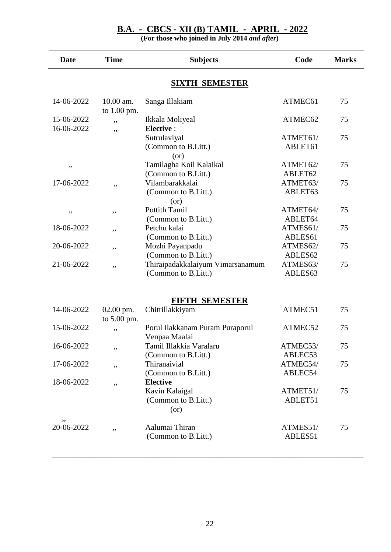#### **B.A. - CBCS - XII (B) TAMIL - APRIL - 2022**

**(For those who joined in July 2014** *and after***)**

| <b>Date</b>              | <b>Time</b><br><b>Subjects</b> |                                                                  | Code                | <b>Marks</b> |
|--------------------------|--------------------------------|------------------------------------------------------------------|---------------------|--------------|
|                          |                                | <b>SIXTH SEMESTER</b>                                            |                     |              |
| 14-06-2022               | 10.00 am.<br>to 1.00 pm.       | Sanga Illakiam                                                   | ATMEC61             | 75           |
| 15-06-2022<br>16-06-2022 | ,,                             | Ikkala Moliyeal<br>Elective :                                    | ATMEC62             | 75           |
|                          | ,,                             | Sutrulaviyal<br>(Common to B.Litt.)                              | ATMET61/<br>ABLET61 | 75           |
| ,,                       |                                | (or)<br>Tamilagha Koil Kalaikal<br>(Common to B.Litt.)           | ATMET62/<br>ABLET62 | 75           |
| 17-06-2022               | ,,                             | Vilambarakkalai<br>(Common to B.Litt.)<br>(or)                   | ATMET63/<br>ABLET63 | 75           |
| ,,                       | ,,                             | <b>Pottith Tamil</b><br>(Common to B.Litt.)                      | ATMET64/<br>ABLET64 | 75           |
| 18-06-2022               | ,,                             | Petchu kalai<br>(Common to B.Litt.)                              | ATMES61/<br>ABLES61 | 75           |
| 20-06-2022               | ,,                             | Mozhi Payanpadu<br>(Common to B.Litt.)                           | ATMES62/<br>ABLES62 | 75           |
| 21-06-2022               | ,,                             | Thiraipadakkalaiyum Vimarsanamum<br>(Common to B.Litt.)          | ATMES63/<br>ABLES63 | 75           |
|                          |                                | <b>FIFTH SEMESTER</b>                                            |                     |              |
| 14-06-2022               | $02.00$ pm.<br>to 5.00 pm.     | Chitrillakkiyam                                                  | ATMEC51             | 75           |
| 15-06-2022               | ,,                             | Porul Ilakkanam Puram Puraporul<br>Venpaa Maalai                 | ATMEC52             | 75           |
| 16-06-2022               | ,,                             | Tamil Illakkia Varalaru<br>(Common to B.Litt.)                   | ATMEC53/<br>ABLEC53 | 75           |
| 17-06-2022               | ,,                             | Thiranaivial<br>(Common to B.Litt.)                              | ATMEC54/<br>ABLEC54 | 75           |
| 18-06-2022               | ,,                             | <b>Elective</b><br>Kavin Kalaigal<br>(Common to B.Litt.)<br>(or) | ATMET51/<br>ABLET51 | 75           |
| 20-06-2022               | ,,                             | Aalumai Thiran<br>(Common to B.Litt.)                            | ATMES51/<br>ABLES51 | 75           |

\_\_\_\_\_\_\_\_\_\_\_\_\_\_\_\_\_\_\_\_\_\_\_\_\_\_\_\_\_\_\_\_\_\_\_\_\_\_\_\_\_\_\_\_\_\_\_\_\_\_\_\_\_\_\_\_\_\_\_\_\_\_\_\_\_\_\_\_\_\_\_\_\_\_\_\_\_\_\_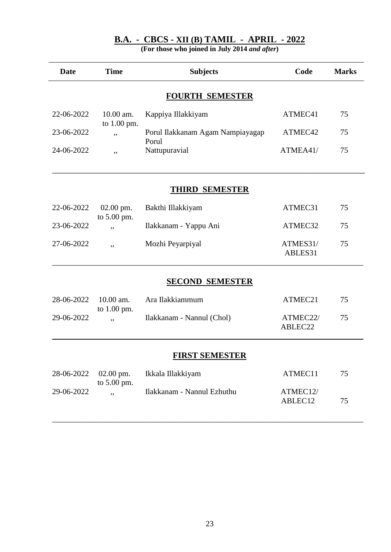|  |  | $B.A. - CBCS - XII(B) TAMIL - APRIL - 2022$ |  |  |  |  |
|--|--|---------------------------------------------|--|--|--|--|
|--|--|---------------------------------------------|--|--|--|--|

| <b>Date</b>           | <b>Time</b>                | <b>Subjects</b>                           | Code                | <b>Marks</b> |  |  |
|-----------------------|----------------------------|-------------------------------------------|---------------------|--------------|--|--|
|                       |                            | <b>FOURTH SEMESTER</b>                    |                     |              |  |  |
| 22-06-2022            | 10.00 am.<br>to 1.00 pm.   | Kappiya Illakkiyam                        | ATMEC41             | 75           |  |  |
| 23-06-2022            | ,,                         | Porul Ilakkanam Agam Nampiayagap<br>Porul | ATMEC42             | 75           |  |  |
| 24-06-2022            | ,,                         | Nattupuravial                             | ATMEA41/            | 75           |  |  |
|                       |                            | <b>THIRD SEMESTER</b>                     |                     |              |  |  |
| 22-06-2022            | 02.00 pm.<br>to 5.00 pm.   | Bakthi Illakkiyam                         | ATMEC31             | 75           |  |  |
| 23-06-2022            | ,,                         | Ilakkanam - Yappu Ani                     | ATMEC32             | 75           |  |  |
| 27-06-2022            | ,,                         | Mozhi Peyarpiyal                          | ATMES31/<br>ABLES31 | 75           |  |  |
|                       |                            | <b>SECOND SEMESTER</b>                    |                     |              |  |  |
| 28-06-2022            | 10.00 am.<br>to $1.00$ pm. | Ara Ilakkiammum                           | ATMEC21             | 75           |  |  |
| 29-06-2022            | ,,                         | Ilakkanam - Nannul (Chol)                 | ATMEC22/<br>ABLEC22 | 75           |  |  |
| <b>FIRST SEMESTER</b> |                            |                                           |                     |              |  |  |
| 28-06-2022            | $02.00$ pm.                | Ikkala Illakkiyam                         | ATMEC11             | 75           |  |  |
| 29-06-2022            | to 5.00 pm.<br>,,          | Ilakkanam - Nannul Ezhuthu                | ATMEC12/<br>ABLEC12 | 75           |  |  |
|                       |                            |                                           |                     |              |  |  |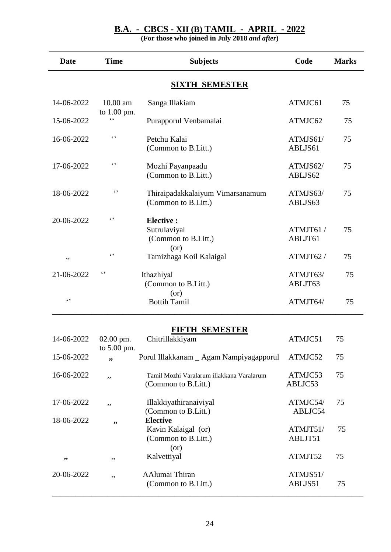#### **B.A. - CBCS - XII (B) TAMIL - APRIL - 2022**

**(For those who joined in July 2018** *and after***)**

| <b>Date</b>           | <b>Time</b>               | <b>Subjects</b>                                                       | Code                | <b>Marks</b> |  |  |  |
|-----------------------|---------------------------|-----------------------------------------------------------------------|---------------------|--------------|--|--|--|
| <b>SIXTH SEMESTER</b> |                           |                                                                       |                     |              |  |  |  |
| 14-06-2022            | 10.00 am                  | Sanga Illakiam                                                        | ATMJC61             | 75           |  |  |  |
| 15-06-2022            | to 1.00 pm.<br>$\epsilon$ | Purapporul Venbamalai                                                 | ATMJC62             | 75           |  |  |  |
| 16-06-2022            | $\epsilon$ ,              | Petchu Kalai<br>(Common to B.Litt.)                                   | ATMJS61/<br>ABLJS61 | 75           |  |  |  |
| 17-06-2022            | $\epsilon$                | Mozhi Payanpaadu<br>(Common to B.Litt.)                               | ATMJS62/<br>ABLJS62 | 75           |  |  |  |
| 18-06-2022            | $\epsilon$                | Thiraipadakkalaiyum Vimarsanamum<br>(Common to B.Litt.)               | ATMJS63/<br>ABLJS63 | 75           |  |  |  |
| 20-06-2022            | $\epsilon$                | <b>Elective:</b><br>Sutrulaviyal<br>(Common to B.Litt.)<br>(or)       | ATMJT61/<br>ABLJT61 | 75           |  |  |  |
| ,,                    | $\epsilon$                | Tamizhaga Koil Kalaigal                                               | ATMJT62/            | 75           |  |  |  |
| 21-06-2022            | $\epsilon$                | Ithazhiyal<br>(Common to B.Litt.)                                     | ATMJT63/<br>ABLJT63 | 75           |  |  |  |
| $\zeta$ )             |                           | (or)<br><b>Bottih Tamil</b>                                           | ATMJT64/            | 75           |  |  |  |
|                       |                           | <b>FIFTH SEMESTER</b>                                                 |                     |              |  |  |  |
| 14-06-2022            | 02.00 pm.<br>to 5.00 pm.  | Chitrillakkiyam                                                       | ATMJC51             | 75           |  |  |  |
| 15-06-2022            | "                         | Porul Illakkanam _ Agam Nampiyagapporul                               | ATMJC52             | 75           |  |  |  |
| 16-06-2022            | ,,                        | Tamil Mozhi Varalarum illakkana Varalarum<br>(Common to B.Litt.)      | ATMJC53<br>ABLJC53  | 75           |  |  |  |
| 17-06-2022            | ,,                        | Illakkiyathiranaiviyal<br>(Common to B.Litt.)                         | ATMJC54/<br>ABLJC54 | 75           |  |  |  |
| 18-06-2022            | ,,                        | <b>Elective</b><br>Kavin Kalaigal (or)<br>(Common to B.Litt.)<br>(or) | ATMJT51/<br>ABLJT51 | 75           |  |  |  |
| ,,                    | ,,                        | Kalvettiyal                                                           | ATMJT52             | 75           |  |  |  |
| 20-06-2022            | ,,                        | AAlumai Thiran<br>(Common to B.Litt.)                                 | ATMJS51/<br>ABLJS51 | 75           |  |  |  |

\_\_\_\_\_\_\_\_\_\_\_\_\_\_\_\_\_\_\_\_\_\_\_\_\_\_\_\_\_\_\_\_\_\_\_\_\_\_\_\_\_\_\_\_\_\_\_\_\_\_\_\_\_\_\_\_\_\_\_\_\_\_\_\_\_\_\_\_\_\_\_\_\_\_\_\_\_\_\_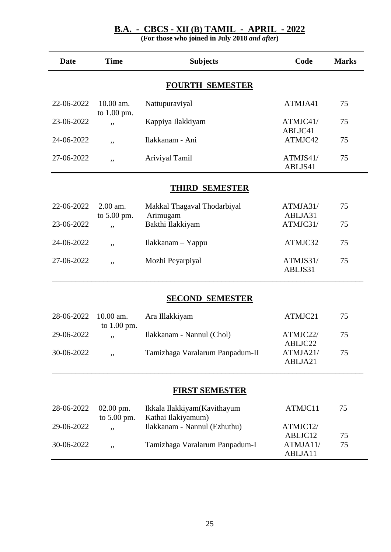#### **B.A. - CBCS - XII (B) TAMIL - APRIL - 2022**

| <b>Date</b>            | <b>Time</b>                | <b>Subjects</b>                                   | Code                | <b>Marks</b> |  |  |
|------------------------|----------------------------|---------------------------------------------------|---------------------|--------------|--|--|
| <b>FOURTH SEMESTER</b> |                            |                                                   |                     |              |  |  |
| 22-06-2022             | 10.00 am.                  | Nattupuraviyal                                    | ATMJA41             | 75           |  |  |
| 23-06-2022             | to 1.00 pm.<br>,,          | Kappiya Ilakkiyam                                 | ATMJC41/<br>ABLJC41 | 75           |  |  |
| 24-06-2022             | ,,                         | Ilakkanam - Ani                                   | ATMJC42             | 75           |  |  |
| 27-06-2022             | ,,                         | Ariviyal Tamil                                    | ATMJS41/<br>ABLJS41 | 75           |  |  |
|                        |                            | <b>THIRD SEMESTER</b>                             |                     |              |  |  |
| 22-06-2022             | 2.00 am.<br>to 5.00 pm.    | Makkal Thagaval Thodarbiyal<br>Arimugam           | ATMJA31/<br>ABLJA31 | 75           |  |  |
| 23-06-2022             | ,,                         | Bakthi Ilakkiyam                                  | ATMJC31/            | 75           |  |  |
| 24-06-2022             | ,,                         | Ilakkanam - Yappu                                 | ATMJC32             | 75           |  |  |
| 27-06-2022             | ,,                         | Mozhi Peyarpiyal                                  | ATMJS31/<br>ABLJS31 | 75           |  |  |
|                        |                            | <b>SECOND SEMESTER</b>                            |                     |              |  |  |
| 28-06-2022             | 10.00 am.<br>to $1.00$ pm. | Ara Illakkiyam                                    | ATMJC21             | 75           |  |  |
| 29-06-2022             | ,,                         | Ilakkanam - Nannul (Chol)                         | ATMJC22/<br>ABLJC22 | 75           |  |  |
| 30-06-2022             | ,,                         | Tamizhaga Varalarum Panpadum-II                   | ATMJA21/<br>ABLJA21 | 75           |  |  |
|                        |                            | <b>FIRST SEMESTER</b>                             |                     |              |  |  |
| 28-06-2022             | $02.00$ pm.<br>to 5.00 pm. | Ikkala Ilakkiyam(Kavithayum<br>Kathai Ilakiyamum) | ATMJC11             | 75           |  |  |
| 29-06-2022             | ,,                         | Ilakkanam - Nannul (Ezhuthu)                      | ATMJC12/<br>ABLJC12 | 75           |  |  |
| 30-06-2022             | ,,                         | Tamizhaga Varalarum Panpadum-I                    | ATMJA11/<br>ABLJA11 | 75           |  |  |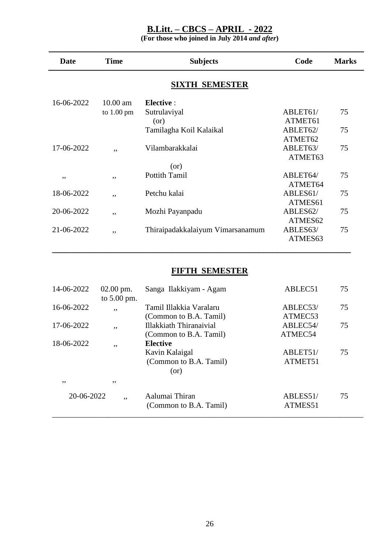**(For those who joined in July 2014** *and after***)**

| <b>Date</b> | <b>Time</b>          | <b>Subjects</b>                  | Code     | <b>Marks</b> |
|-------------|----------------------|----------------------------------|----------|--------------|
|             |                      | <b>SIXTH SEMESTER</b>            |          |              |
| 16-06-2022  | $10.00$ am           | <b>Elective:</b>                 |          |              |
|             | to $1.00 \text{ pm}$ | Sutrulaviyal                     | ABLET61/ | 75           |
|             |                      | (or)                             | ATMET61  |              |
|             |                      | Tamilagha Koil Kalaikal          | ABLET62/ | 75           |
|             |                      |                                  | ATMET62  |              |
| 17-06-2022  | , ,                  | Vilambarakkalai                  | ABLET63/ | 75           |
|             |                      |                                  | ATMET63  |              |
|             |                      | (or)                             |          |              |
| ,,          | ,,                   | <b>Pottith Tamil</b>             | ABLET64/ | 75           |
|             |                      |                                  | ATMET64  |              |
| 18-06-2022  | ,,                   | Petchu kalai                     | ABLES61/ | 75           |
|             |                      |                                  | ATMES61  |              |
| 20-06-2022  | ,,                   | Mozhi Payanpadu                  | ABLES62/ | 75           |
|             |                      |                                  | ATMES62  |              |
| 21-06-2022  | ,,                   | Thiraipadakkalaiyum Vimarsanamum | ABLES63/ | 75           |
|             |                      |                                  | ATMES63  |              |
|             |                      |                                  |          |              |

# **FIFTH SEMESTER**

| 14-06-2022 | $02.00$ pm.   | Sanga Ilakkiyam - Agam  | ABLEC51               | 75 |
|------------|---------------|-------------------------|-----------------------|----|
|            | to $5.00$ pm. |                         |                       |    |
| 16-06-2022 | ,,            | Tamil Illakkia Varalaru | ABLEC <sub>53</sub> / | 75 |
|            |               | (Common to B.A. Tamil)  | ATMEC53               |    |
| 17-06-2022 | ,,            | Illakkiath Thiranaivial | ABLEC54/              | 75 |
|            |               | (Common to B.A. Tamil)  | ATMEC54               |    |
| 18-06-2022 | ,,            | <b>Elective</b>         |                       |    |
|            |               | Kavin Kalaigal          | ABLET51/              | 75 |
|            |               | (Common to B.A. Tamil)  | ATMET51               |    |
|            |               | (or)                    |                       |    |
| , ,        | , ,           |                         |                       |    |
| 20-06-2022 | ,,            | Aalumai Thiran          | ABLES51/              | 75 |
|            |               | (Common to B.A. Tamil)  | ATMES51               |    |
|            |               |                         |                       |    |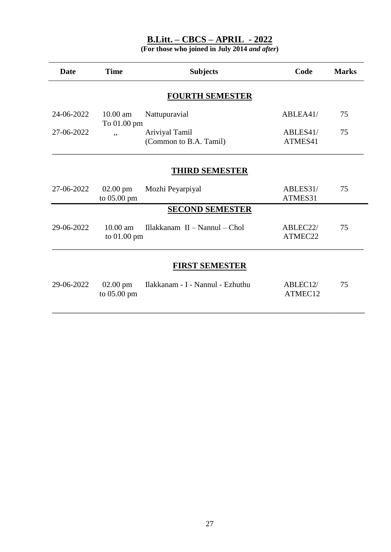| <b>Date</b>            | <b>Time</b>                       | <b>Subjects</b>                          | Code                | <b>Marks</b> |  |  |  |
|------------------------|-----------------------------------|------------------------------------------|---------------------|--------------|--|--|--|
| <b>FOURTH SEMESTER</b> |                                   |                                          |                     |              |  |  |  |
| 24-06-2022             | 10.00 am<br>To 01.00 pm           | Nattupuravial                            | ABLEA41/            | 75           |  |  |  |
| 27-06-2022             | ,,                                | Ariviyal Tamil<br>(Common to B.A. Tamil) | ABLES41/<br>ATMES41 | 75           |  |  |  |
| <b>THIRD SEMESTER</b>  |                                   |                                          |                     |              |  |  |  |
| 27-06-2022             | $02.00 \text{ pm}$<br>to 05.00 pm | Mozhi Peyarpiyal                         | ABLES31/<br>ATMES31 | 75           |  |  |  |
|                        |                                   | <b>SECOND SEMESTER</b>                   |                     |              |  |  |  |
| 29-06-2022             | $10.00$ am<br>to 01.00 pm         | Illakkanam II - Nannul - Chol            | ABLEC22/<br>ATMEC22 | 75           |  |  |  |
| <b>FIRST SEMESTER</b>  |                                   |                                          |                     |              |  |  |  |
| 29-06-2022             | $02.00$ pm<br>to 05.00 pm         | Ilakkanam - I - Nannul - Ezhuthu         | ABLEC12/<br>ATMEC12 | 75           |  |  |  |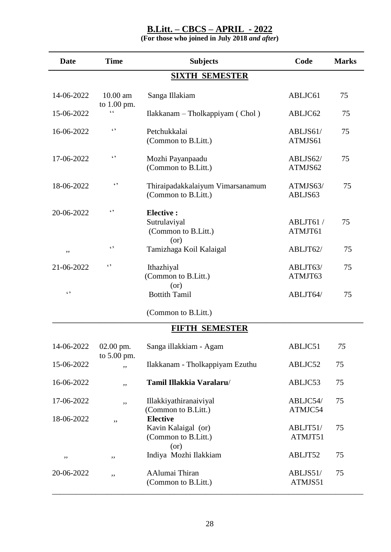| <b>Date</b> | <b>Time</b>                | <b>Subjects</b>                                                       | Code                | <b>Marks</b> |
|-------------|----------------------------|-----------------------------------------------------------------------|---------------------|--------------|
|             |                            | <b>SIXTH SEMESTER</b>                                                 |                     |              |
| 14-06-2022  | 10.00 am                   | Sanga Illakiam                                                        | ABLJC61             | 75           |
| 15-06-2022  | to 1.00 pm.<br>$\epsilon$  | Ilakkanam – Tholkappiyam (Chol)                                       | ABLJC62             | 75           |
| 16-06-2022  | $\epsilon$                 | Petchukkalai<br>(Common to B.Litt.)                                   | ABLJS61/<br>ATMJS61 | 75           |
| 17-06-2022  | $\epsilon$                 | Mozhi Payanpaadu<br>(Common to B.Litt.)                               | ABLJS62/<br>ATMJS62 | 75           |
| 18-06-2022  | $\epsilon$                 | Thiraipadakkalaiyum Vimarsanamum<br>(Common to B.Litt.)               | ATMJS63/<br>ABLJS63 | 75           |
| 20-06-2022  | $\epsilon$                 | <b>Elective:</b><br>Sutrulaviyal<br>(Common to B.Litt.)<br>(or)       | ABLJT61/<br>ATMJT61 | 75           |
| ,,          | $\epsilon$                 | Tamizhaga Koil Kalaigal                                               | ABLJT62/            | 75           |
| 21-06-2022  | $\epsilon$                 | Ithazhiyal<br>(Common to B.Litt.)                                     | ABLJT63/<br>ATMJT63 | 75           |
| $\epsilon$  |                            | (or)<br><b>Bottith Tamil</b>                                          | ABLJT64/            | 75           |
|             |                            | (Common to B.Litt.)                                                   |                     |              |
|             |                            | <b>FIFTH SEMESTER</b>                                                 |                     |              |
| 14-06-2022  | 02.00 pm.<br>to $5.00$ pm. | Sanga illakkiam - Agam                                                | ABLJC51             | 75           |
| 15-06-2022  | ,,                         | Ilakkanam - Tholkappiyam Ezuthu                                       | ABLJC52             | 75           |
| 16-06-2022  | ,,                         | Tamil Illakkia Varalaru/                                              | ABLJC53             | 75           |
| 17-06-2022  | ,,                         | Illakkiyathiranaiviyal<br>(Common to B.Litt.)                         | ABLJC54/<br>ATMJC54 | 75           |
| 18-06-2022  | ,,                         | <b>Elective</b><br>Kavin Kalaigal (or)<br>(Common to B.Litt.)<br>(or) | ABLJT51/<br>ATMJT51 | 75           |
| ,,          | ,,                         | Indiya Mozhi Ilakkiam                                                 | ABLJT52             | 75           |
| 20-06-2022  | ,,                         | AAlumai Thiran<br>(Common to B.Litt.)                                 | ABLJS51/<br>ATMJS51 | 75           |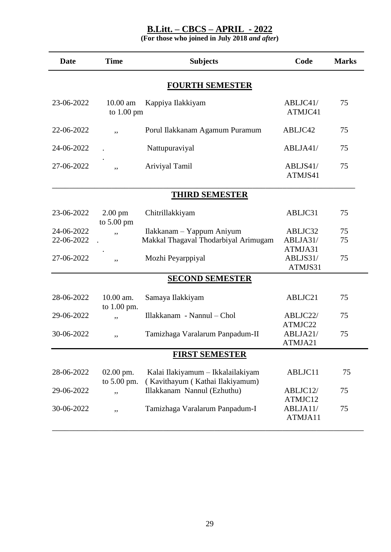| <b>Date</b>              | <b>Time</b>                               | <b>Subjects</b>                                                      | Code                           | <b>Marks</b> |  |  |
|--------------------------|-------------------------------------------|----------------------------------------------------------------------|--------------------------------|--------------|--|--|
| <b>FOURTH SEMESTER</b>   |                                           |                                                                      |                                |              |  |  |
| 23-06-2022               | 10.00 am<br>to $1.00 \text{ pm}$          | Kappiya Ilakkiyam                                                    | ABLJC41/<br>ATMJC41            | 75           |  |  |
| 22-06-2022               | ,,                                        | Porul Ilakkanam Agamum Puramum                                       | ABLJC42                        | 75           |  |  |
| 24-06-2022               |                                           | Nattupuraviyal                                                       | ABLJA41/                       | 75           |  |  |
| 27-06-2022               | ,,                                        | Ariviyal Tamil                                                       | ABLJS41/<br>ATMJS41            | 75           |  |  |
|                          |                                           | <b>THIRD SEMESTER</b>                                                |                                |              |  |  |
| 23-06-2022               | $2.00 \text{ pm}$<br>to $5.00 \text{ pm}$ | Chitrillakkiyam                                                      | ABLJC31                        | 75           |  |  |
| 24-06-2022<br>22-06-2022 | ,,                                        | Ilakkanam – Yappum Aniyum<br>Makkal Thagaval Thodarbiyal Arimugam    | ABLJC32<br>ABLJA31/            | 75<br>75     |  |  |
| 27-06-2022               | ,,                                        | Mozhi Peyarppiyal                                                    | ATMJA31<br>ABLJS31/<br>ATMJS31 | 75           |  |  |
|                          |                                           | <b>SECOND SEMESTER</b>                                               |                                |              |  |  |
| 28-06-2022               | 10.00 am.<br>to 1.00 pm.                  | Samaya Ilakkiyam                                                     | ABLJC21                        | 75           |  |  |
| 29-06-2022               | ,,                                        | Illakkanam - Nannul - Chol                                           | ABLJC22/<br>ATMJC22            | 75           |  |  |
| 30-06-2022               | ,,                                        | Tamizhaga Varalarum Panpadum-II                                      | ABLJA21/<br>ATMJA21            | 75           |  |  |
|                          |                                           | <b>FIRST SEMESTER</b>                                                |                                |              |  |  |
| 28-06-2022               | 02.00 pm.<br>to 5.00 pm.                  | Kalai Ilakiyamum - Ikkalailakiyam<br>(Kavithayum (Kathai Ilakiyamum) | ABLJC11                        | 75           |  |  |
| 29-06-2022               | ,,                                        | Illakkanam Nannul (Ezhuthu)                                          | ABLJC12/<br>ATMJC12            | 75           |  |  |
| 30-06-2022               | ,,                                        | Tamizhaga Varalarum Panpadum-I                                       | ABLJA11/<br>ATMJA11            | 75           |  |  |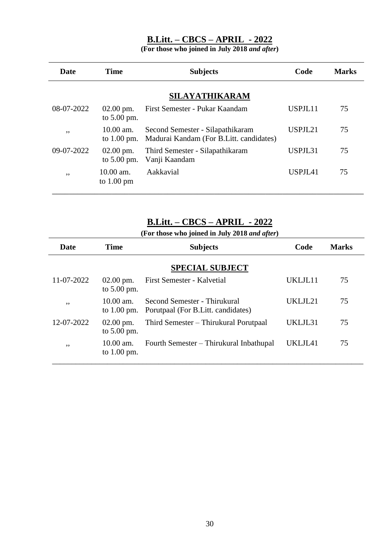**(For those who joined in July 2018** *and after***)**

| <b>Date</b>    | Time                                  | <b>Subjects</b>                                                             | Code    | <b>Marks</b> |  |  |  |
|----------------|---------------------------------------|-----------------------------------------------------------------------------|---------|--------------|--|--|--|
| SILAYATHIKARAM |                                       |                                                                             |         |              |  |  |  |
| 08-07-2022     | $02.00 \text{ pm}$ .<br>to $5.00$ pm. | First Semester - Pukar Kaandam                                              | USPJL11 | 75           |  |  |  |
| , ,            | $10.00$ am.<br>to $1.00$ pm.          | Second Semester - Silapathikaram<br>Madurai Kandam (For B.Litt. candidates) | USPJL21 | 75           |  |  |  |
| 09-07-2022     | $02.00 \text{ pm}$ .<br>to $5.00$ pm. | Third Semester - Silapathikaram<br>Vanji Kaandam                            | USPJL31 | 75           |  |  |  |
| , ,            | $10.00$ am.<br>to $1.00 \text{ pm}$   | Aakkavial                                                                   | USPJL41 | 75           |  |  |  |

### **B.Litt. – CBCS – APRIL - 2022**

| Date       | Time                                  | <b>Subjects</b>                                                     | Code    | <b>Marks</b> |  |  |  |  |
|------------|---------------------------------------|---------------------------------------------------------------------|---------|--------------|--|--|--|--|
|            | <b>SPECIAL SUBJECT</b>                |                                                                     |         |              |  |  |  |  |
| 11-07-2022 | $02.00 \text{ pm}$ .<br>to $5.00$ pm. | First Semester - Kalvetial                                          | UKLJL11 | 75           |  |  |  |  |
| ,,         | $10.00$ am.<br>to $1.00$ pm.          | Second Semester - Thirukural<br>Porutpaal (For B. Litt. candidates) | UKLJL21 | 75           |  |  |  |  |
| 12-07-2022 | $02.00 \text{ pm}$ .<br>to $5.00$ pm. | Third Semester – Thirukural Porutpaal                               | UKLJL31 | 75           |  |  |  |  |
| ,,         | $10.00$ am.<br>to $1.00$ pm.          | Fourth Semester – Thirukural Inbathupal                             | UKLJL41 | 75           |  |  |  |  |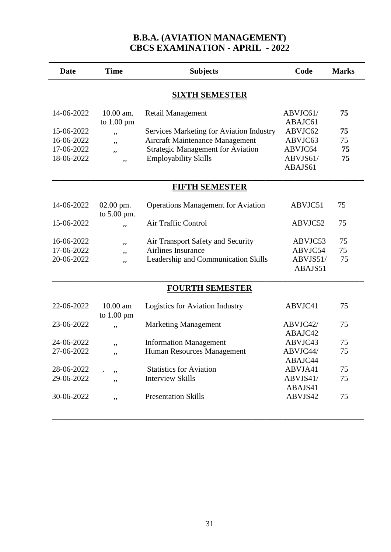### **B.B.A. (AVIATION MANAGEMENT) CBCS EXAMINATION - APRIL - 2022**

| <b>Date</b>           | <b>Time</b>                       | <b>Subjects</b>                           | Code                | <b>Marks</b> |  |  |  |
|-----------------------|-----------------------------------|-------------------------------------------|---------------------|--------------|--|--|--|
| <b>SIXTH SEMESTER</b> |                                   |                                           |                     |              |  |  |  |
| 14-06-2022            | 10.00 am.<br>to $1.00 \text{ pm}$ | <b>Retail Management</b>                  | ABVJC61/<br>ABAJC61 | 75           |  |  |  |
| 15-06-2022            | ,,                                | Services Marketing for Aviation Industry  | ABVJC62             | 75           |  |  |  |
| 16-06-2022            | ,,                                | Aircraft Maintenance Management           | ABVJC63             | 75           |  |  |  |
| 17-06-2022            | ,,                                | <b>Strategic Management for Aviation</b>  | ABVJC64             | 75           |  |  |  |
| 18-06-2022            | ,,                                | <b>Employability Skills</b>               | ABVJS61/            | 75           |  |  |  |
|                       |                                   |                                           | ABAJS61             |              |  |  |  |
| <b>FIFTH SEMESTER</b> |                                   |                                           |                     |              |  |  |  |
| 14-06-2022            | $02.00$ pm.<br>to 5.00 pm.        | <b>Operations Management for Aviation</b> | ABVJC51             | 75           |  |  |  |
| 15-06-2022            | ,,                                | Air Traffic Control                       | ABVJC52             | 75           |  |  |  |
| 16-06-2022            | ,,                                | Air Transport Safety and Security         | ABVJC53             | 75           |  |  |  |
| 17-06-2022            | ,,                                | Airlines Insurance                        | ABVJC54             | 75           |  |  |  |
| 20-06-2022            | ,,                                | Leadership and Communication Skills       | ABVJS51/            | 75           |  |  |  |
|                       |                                   |                                           | ABAJS51             |              |  |  |  |
|                       |                                   | <b>FOURTH SEMESTER</b>                    |                     |              |  |  |  |
| 22-06-2022            | 10.00 am<br>to $1.00$ pm          | Logistics for Aviation Industry           | ABVJC41             | 75           |  |  |  |
| 23-06-2022            | ,,                                | <b>Marketing Management</b>               | ABVJC42/            | 75           |  |  |  |
|                       |                                   |                                           | ABAJC42             |              |  |  |  |
| 24-06-2022            | ,,                                | <b>Information Management</b>             | ABVJC43             | 75           |  |  |  |
| 27-06-2022            | ,,                                | Human Resources Management                | ABVJC44/            | 75           |  |  |  |
|                       |                                   |                                           | ABAJC44             |              |  |  |  |
| 28-06-2022            | ,,                                | <b>Statistics for Aviation</b>            | ABVJA41             | 75           |  |  |  |
| 29-06-2022            | ,,                                | <b>Interview Skills</b>                   | ABVJS41/            | 75           |  |  |  |
|                       |                                   |                                           | ABAJS41             |              |  |  |  |
| 30-06-2022            | ,,                                | <b>Presentation Skills</b>                | ABVJS42             | 75           |  |  |  |
|                       |                                   |                                           |                     |              |  |  |  |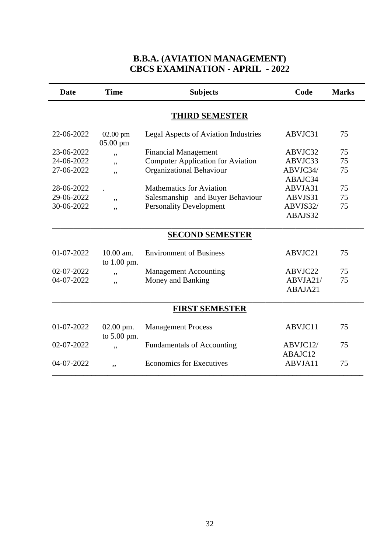### **B.B.A. (AVIATION MANAGEMENT) CBCS EXAMINATION - APRIL - 2022**

|            |                            | <b>Subjects</b>                             | Code     | <b>Marks</b> |
|------------|----------------------------|---------------------------------------------|----------|--------------|
|            |                            | <b>THIRD SEMESTER</b>                       |          |              |
| 22-06-2022 | $02.00$ pm<br>05.00 pm     | <b>Legal Aspects of Aviation Industries</b> | ABVJC31  | 75           |
| 23-06-2022 | ,,                         | <b>Financial Management</b>                 | ABVJC32  | 75           |
| 24-06-2022 | ,,                         | <b>Computer Application for Aviation</b>    | ABVJC33  | 75           |
| 27-06-2022 | ,,                         | Organizational Behaviour                    | ABVJC34/ | 75           |
|            |                            |                                             | ABAJC34  |              |
| 28-06-2022 |                            | <b>Mathematics for Aviation</b>             | ABVJA31  | 75           |
| 29-06-2022 | ,,                         | Salesmanship and Buyer Behaviour            | ABVJS31  | 75           |
| 30-06-2022 | ,,                         | <b>Personality Development</b>              | ABVJS32/ | 75           |
|            |                            |                                             | ABAJS32  |              |
|            |                            | <b>SECOND SEMESTER</b>                      |          |              |
| 01-07-2022 | $10.00$ am.<br>to 1.00 pm. | <b>Environment of Business</b>              | ABVJC21  | 75           |
| 02-07-2022 | ,,                         | <b>Management Accounting</b>                | ABVJC22  | 75           |
| 04-07-2022 | ,,                         | Money and Banking                           | ABVJA21/ | 75           |
|            |                            |                                             | ABAJA21  |              |
|            |                            | <b>FIRST SEMESTER</b>                       |          |              |
| 01-07-2022 | $02.00$ pm.<br>to 5.00 pm. | <b>Management Process</b>                   | ABVJC11  | 75           |
| 02-07-2022 | ,,                         | <b>Fundamentals of Accounting</b>           | ABVJC12/ | 75           |
|            |                            |                                             | ABAJC12  |              |
| 04-07-2022 | ,,                         | <b>Economics for Executives</b>             | ABVJA11  | 75           |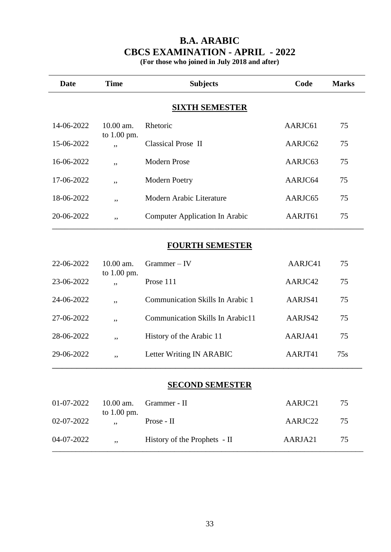## **B.A. ARABIC CBCS EXAMINATION - APRIL - 2022**

**(For those who joined in July 2018 and after)**

| <b>Date</b>            | <b>Time</b>         | <b>Subjects</b>                | Code    | <b>Marks</b> |  |  |  |
|------------------------|---------------------|--------------------------------|---------|--------------|--|--|--|
|                        |                     | <b>SIXTH SEMESTER</b>          |         |              |  |  |  |
| 14-06-2022             | $10.00$ am.         | Rhetoric                       | AARJC61 | 75           |  |  |  |
| 15-06-2022             | to 1.00 pm.<br>,,   | <b>Classical Prose II</b>      | AARJC62 | 75           |  |  |  |
| 16-06-2022             | ,,                  | <b>Modern Prose</b>            | AARJC63 | 75           |  |  |  |
| 17-06-2022             | ,,                  | <b>Modern Poetry</b>           | AARJC64 | 75           |  |  |  |
| 18-06-2022             | ,,                  | Modern Arabic Literature       | AARJC65 | 75           |  |  |  |
| 20-06-2022             | ,,                  | Computer Application In Arabic | AARJT61 | 75           |  |  |  |
| <b>FOURTH SEMESTER</b> |                     |                                |         |              |  |  |  |
| 22-06-2022             | $10.00$ am.         | $Grammer - IV$                 | AARJC41 | 75           |  |  |  |
| 23-06-2022             | to $1.00$ pm.<br>,, | Prose 111                      | AARJC42 | 75           |  |  |  |

#### **SECOND SEMESTER**

24-06-2022 ,, Communication Skills In Arabic 1 AARJS41 75

27-06-2022 ,, Communication Skills In Arabic11 AARJS42 75

28-06-2022 ,, History of the Arabic 11 AARJA41 75

29-06-2022 ,, Letter Writing IN ARABIC AARJT41 75s \_\_\_\_\_\_\_\_\_\_\_\_\_\_\_\_\_\_\_\_\_\_\_\_\_\_\_\_\_\_\_\_\_\_\_\_\_\_\_\_\_\_\_\_\_\_\_\_\_\_\_\_\_\_\_\_\_\_\_\_\_\_\_

| 01-07-2022 | to $1.00$ pm. | $10.00$ am. Grammer - II     | AARJC21 | 75 |
|------------|---------------|------------------------------|---------|----|
| 02-07-2022 |               | Prose - II                   | AARJC22 | 75 |
| 04-07-2022 | $, \cdot$     | History of the Prophets - II | AARJA21 | 75 |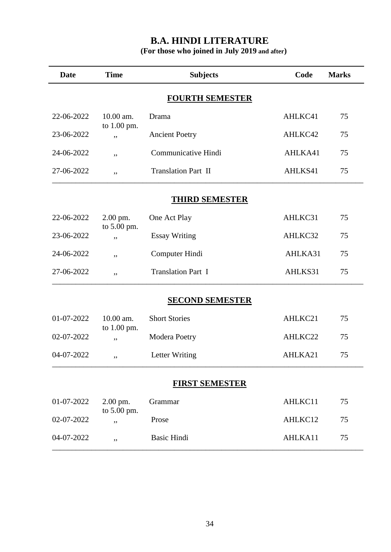# **B.A. HINDI LITERATURE**

| <b>Date</b>            | <b>Time</b>              | <b>Subjects</b>            | Code    | <b>Marks</b> |  |  |
|------------------------|--------------------------|----------------------------|---------|--------------|--|--|
| <b>FOURTH SEMESTER</b> |                          |                            |         |              |  |  |
| 22-06-2022             | 10.00 am.                | Drama                      | AHLKC41 | 75           |  |  |
| 23-06-2022             | to 1.00 pm.<br>,,        | <b>Ancient Poetry</b>      | AHLKC42 | 75           |  |  |
| 24-06-2022             | ,,                       | Communicative Hindi        | AHLKA41 | 75           |  |  |
| 27-06-2022             | ,,                       | <b>Translation Part II</b> | AHLKS41 | 75           |  |  |
|                        |                          | <b>THIRD SEMESTER</b>      |         |              |  |  |
| 22-06-2022             | 2.00 pm.<br>to 5.00 pm.  | One Act Play               | AHLKC31 | 75           |  |  |
| 23-06-2022             | ,,                       | <b>Essay Writing</b>       | AHLKC32 | 75           |  |  |
| 24-06-2022             | ,,                       | Computer Hindi             | AHLKA31 | 75           |  |  |
| 27-06-2022             | ,,                       | <b>Translation Part I</b>  | AHLKS31 | 75           |  |  |
|                        |                          | <b>SECOND SEMESTER</b>     |         |              |  |  |
| 01-07-2022             | 10.00 am.<br>to 1.00 pm. | <b>Short Stories</b>       | AHLKC21 | 75           |  |  |
| 02-07-2022             | ,,                       | Modera Poetry              | AHLKC22 | 75           |  |  |
| 04-07-2022             | ,,                       | Letter Writing             | AHLKA21 | 75           |  |  |
| <b>FIRST SEMESTER</b>  |                          |                            |         |              |  |  |
| 01-07-2022             | 2.00 pm.<br>to 5.00 pm.  | Grammar                    | AHLKC11 | 75           |  |  |
| 02-07-2022             | ,,                       | Prose                      | AHLKC12 | 75           |  |  |
| 04-07-2022             | ,,                       | <b>Basic Hindi</b>         | AHLKA11 | 75           |  |  |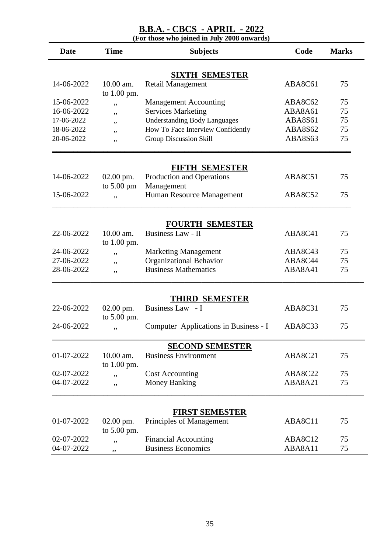### **B.B.A. - CBCS - APRIL - 2022**

**(For those who joined in July 2008 onwards)**

| <b>Date</b> | <b>Time</b>                | <b>Subjects</b>                       | Code    | <b>Marks</b> |
|-------------|----------------------------|---------------------------------------|---------|--------------|
|             |                            | <b>SIXTH SEMESTER</b>                 |         |              |
| 14-06-2022  | $10.00$ am.                | Retail Management                     | ABA8C61 | 75           |
|             | to 1.00 pm.                |                                       |         |              |
| 15-06-2022  | ,,                         | <b>Management Accounting</b>          | ABA8C62 | 75           |
| 16-06-2022  | ,,                         | <b>Services Marketing</b>             | ABA8A61 | 75           |
| 17-06-2022  | ,,                         | <b>Understanding Body Languages</b>   | ABA8S61 | 75           |
| 18-06-2022  | ,,                         | How To Face Interview Confidently     | ABA8S62 | 75           |
| 20-06-2022  | ,,                         | <b>Group Discussion Skill</b>         | ABA8S63 | 75           |
|             |                            | FIFTH SEMESTER                        |         |              |
| 14-06-2022  | $02.00$ pm.                | Production and Operations             | ABA8C51 | 75           |
|             | to $5.00 \text{ pm}$       | Management                            |         |              |
| 15-06-2022  | ,,                         | Human Resource Management             | ABA8C52 | 75           |
|             |                            |                                       |         |              |
|             |                            | <b>FOURTH SEMESTER</b>                |         |              |
| 22-06-2022  | 10.00 am.<br>to 1.00 pm.   | <b>Business Law - II</b>              | ABA8C41 | 75           |
| 24-06-2022  |                            | <b>Marketing Management</b>           | ABA8C43 | 75           |
| 27-06-2022  | ,,<br>,,                   | Organizational Behavior               | ABA8C44 | 75           |
| 28-06-2022  | ,,                         | <b>Business Mathematics</b>           | ABA8A41 | 75           |
|             |                            |                                       |         |              |
|             |                            | <b>THIRD SEMESTER</b>                 |         |              |
| 22-06-2022  | 02.00 pm.                  | Business Law - I                      | ABA8C31 | 75           |
| 24-06-2022  | to 5.00 pm.<br>,,          | Computer Applications in Business - I | ABA8C33 | 75           |
|             |                            |                                       |         |              |
|             |                            | <b>SECOND SEMESTER</b>                |         |              |
| 01-07-2022  | 10.00 am.                  | <b>Business Environment</b>           | ABA8C21 | 75           |
| 02-07-2022  | to 1.00 pm.                | <b>Cost Accounting</b>                | ABA8C22 | 75           |
| 04-07-2022  | ,,                         | <b>Money Banking</b>                  | ABA8A21 | 75           |
|             | ,,                         |                                       |         |              |
|             |                            | <b>FIRST SEMESTER</b>                 |         |              |
| 01-07-2022  | $02.00$ pm.<br>to 5.00 pm. | Principles of Management              | ABA8C11 | 75           |
| 02-07-2022  | ,,                         | <b>Financial Accounting</b>           | ABA8C12 | 75           |
| 04-07-2022  | ,,                         | <b>Business Economics</b>             | ABA8A11 | 75           |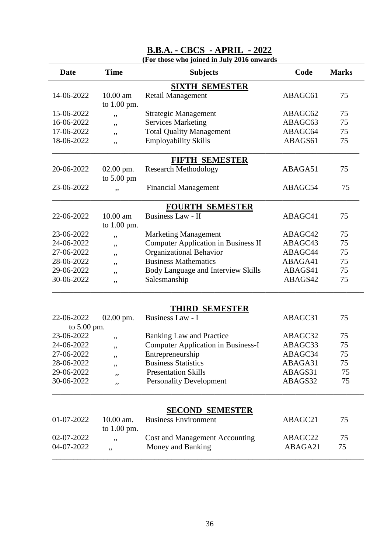| <b>Date</b>           | <b>Time</b>          | <b>Subjects</b>                            | Code    | <b>Marks</b> |  |
|-----------------------|----------------------|--------------------------------------------|---------|--------------|--|
| <b>SIXTH SEMESTER</b> |                      |                                            |         |              |  |
| 14-06-2022            | $10.00$ am           | <b>Retail Management</b>                   | ABAGC61 | 75           |  |
|                       | to 1.00 pm.          |                                            |         |              |  |
| 15-06-2022            | ,,                   | <b>Strategic Management</b>                | ABAGC62 | 75           |  |
| 16-06-2022            | ,,                   | <b>Services Marketing</b>                  | ABAGC63 | 75           |  |
| 17-06-2022            | ,,                   | <b>Total Quality Management</b>            | ABAGC64 | 75           |  |
| 18-06-2022            | ,,                   | <b>Employability Skills</b>                | ABAGS61 | 75           |  |
|                       |                      | <b>FIFTH SEMESTER</b>                      |         |              |  |
| 20-06-2022            | $02.00$ pm.          | <b>Research Methodology</b>                | ABAGA51 | 75           |  |
|                       | to $5.00 \text{ pm}$ |                                            |         |              |  |
| 23-06-2022            | ,,                   | <b>Financial Management</b>                | ABAGC54 | 75           |  |
|                       |                      | <b>FOURTH SEMESTER</b>                     |         |              |  |
| 22-06-2022            | 10.00 am             | <b>Business Law - II</b>                   | ABAGC41 | 75           |  |
|                       | to 1.00 pm.          |                                            |         |              |  |
| 23-06-2022            | ,,                   | <b>Marketing Management</b>                | ABAGC42 | 75           |  |
| 24-06-2022            | ,,                   | <b>Computer Application in Business II</b> | ABAGC43 | 75           |  |
| 27-06-2022            | ,,                   | <b>Organizational Behavior</b>             | ABAGC44 | 75           |  |
| 28-06-2022            | ,,                   | <b>Business Mathematics</b>                | ABAGA41 | 75           |  |
| 29-06-2022            | ,,                   | Body Language and Interview Skills         | ABAGS41 | 75           |  |
| 30-06-2022            | ,,                   | Salesmanship                               | ABAGS42 | 75           |  |
|                       |                      |                                            |         |              |  |
|                       |                      | THIRD SEMESTER                             |         |              |  |
| 22-06-2022            | $02.00$ pm.          | Business Law - I                           | ABAGC31 | 75           |  |
| to $5.00$ pm.         |                      |                                            |         |              |  |
| 23-06-2022            | ,,                   | <b>Banking Law and Practice</b>            | ABAGC32 | 75           |  |
| 24-06-2022            | ,,                   | <b>Computer Application in Business-I</b>  | ABAGC33 | 75           |  |
| 27-06-2022            | ,,                   | Entrepreneurship                           | ABAGC34 | 75           |  |
| 28-06-2022            | ,,                   | <b>Business Statistics</b>                 | ABAGA31 | 75           |  |
| 29-06-2022            | ,,                   | <b>Presentation Skills</b>                 | ABAGS31 | 75           |  |
| 30-06-2022            | ,,                   | <b>Personality Development</b>             | ABAGS32 | 75           |  |
|                       |                      |                                            |         |              |  |
|                       | 10.00 am.            | <b>SECOND SEMESTER</b>                     |         |              |  |
| 01-07-2022            | to $1.00$ pm.        | <b>Business Environment</b>                | ABAGC21 | 75           |  |
| 02-07-2022            | ,,                   | <b>Cost and Management Accounting</b>      | ABAGC22 | 75           |  |
| 04-07-2022            | ,,                   | Money and Banking                          | ABAGA21 | 75           |  |
|                       |                      |                                            |         |              |  |

# **B.B.A. - CBCS - APRIL - 2022**

**(For those who joined in July 2016 onwards**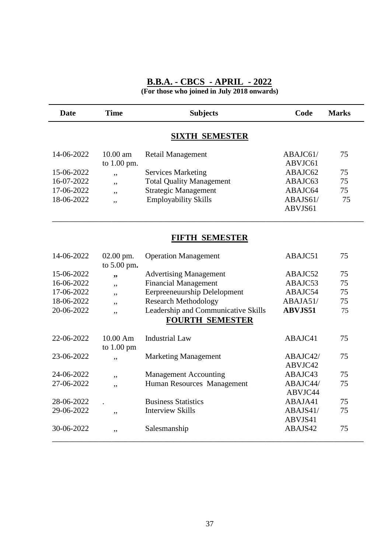#### **B.B.A. - CBCS - APRIL - 2022 (For those who joined in July 2018 onwards)**

**Date Time Subjects Code Marks SIXTH SEMESTER** 14-06-2022 10.00 am Retail Management ABAJC61/75 to 1.00 pm. ABVJC61 15-06-2022 , Services Marketing ABAJC62 75 16-07-2022 ,, Total Quality Management ABAJC63 75 17-06-2022 ,, Strategic Management ABAJC64 75 18-06-2022 , Employability Skills ABAJS61/ 75 ABVJS61

#### **FIFTH SEMESTER**

\_\_\_\_\_\_\_\_\_\_\_\_\_\_\_\_\_\_\_\_\_\_\_\_\_\_\_\_\_\_\_\_\_\_\_\_\_\_\_\_\_\_\_\_\_\_\_\_\_\_\_\_\_\_\_\_\_\_\_\_\_\_\_\_\_\_\_\_\_\_\_\_\_

| 02.00 pm.          | <b>Operation Management</b>         | ABAJC51                                                    | 75                                        |
|--------------------|-------------------------------------|------------------------------------------------------------|-------------------------------------------|
| to $5.00$ pm.      |                                     |                                                            |                                           |
| , ,                | <b>Advertising Management</b>       | ABAJC52                                                    | 75                                        |
| ,,                 | <b>Financial Management</b>         | ABAJC53                                                    | 75                                        |
| ,,                 | Eerpreeneuurship Delelopment        | ABAJC54                                                    | 75                                        |
| ,,                 | <b>Research Methodology</b>         | ABAJA51/                                                   | 75                                        |
| ,,                 | Leadership and Communicative Skills | <b>ABVJS51</b>                                             | 75                                        |
|                    | <b>FOURTH SEMESTER</b>              |                                                            |                                           |
| $10.00 \text{ Am}$ | <b>Industrial Law</b>               | ABAJC41                                                    | 75                                        |
| ,,                 | <b>Marketing Management</b>         | ABAJC42/                                                   | 75                                        |
|                    |                                     |                                                            |                                           |
| ,,                 |                                     |                                                            | 75                                        |
| ,,                 |                                     |                                                            | 75                                        |
|                    |                                     |                                                            |                                           |
|                    | <b>Business Statistics</b>          | ABAJA41                                                    | 75                                        |
| ,,                 | <b>Interview Skills</b>             | ABAJS41/                                                   | 75                                        |
|                    |                                     | ABVJS41                                                    |                                           |
| ,,                 | Salesmanship                        | ABAJS42                                                    | 75                                        |
|                    | to $1.00 \text{ pm}$                | <b>Management Accounting</b><br>Human Resources Management | ABVJC42<br>ABAJC43<br>ABAJC44/<br>ABVJC44 |